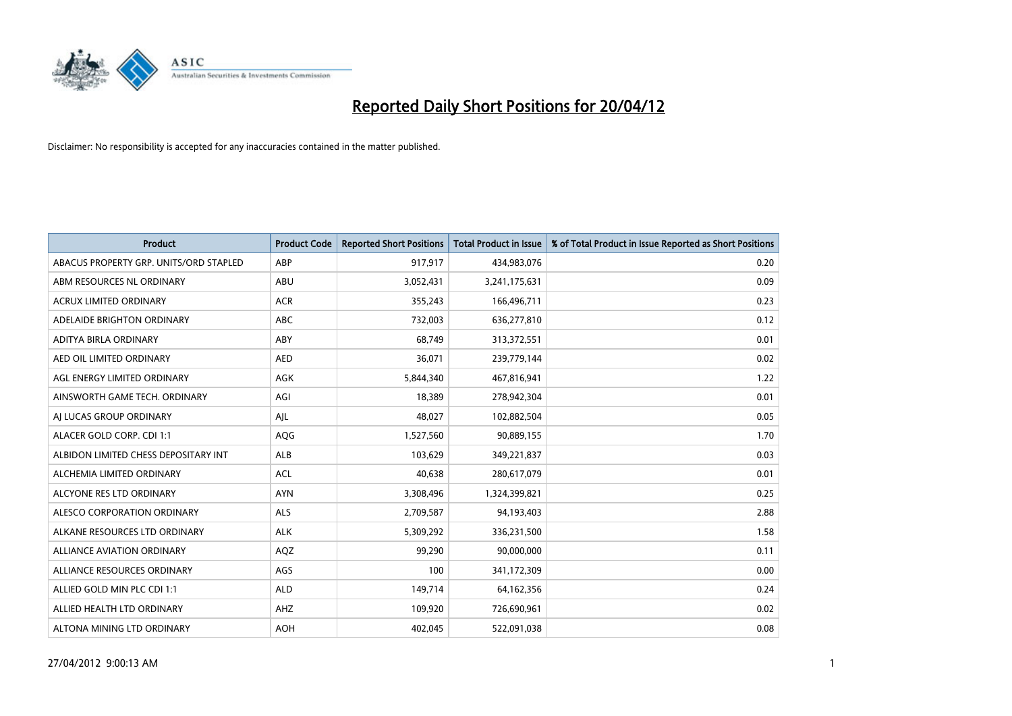

| <b>Product</b>                         | <b>Product Code</b> | <b>Reported Short Positions</b> | <b>Total Product in Issue</b> | % of Total Product in Issue Reported as Short Positions |
|----------------------------------------|---------------------|---------------------------------|-------------------------------|---------------------------------------------------------|
| ABACUS PROPERTY GRP. UNITS/ORD STAPLED | ABP                 | 917,917                         | 434,983,076                   | 0.20                                                    |
| ABM RESOURCES NL ORDINARY              | ABU                 | 3,052,431                       | 3,241,175,631                 | 0.09                                                    |
| <b>ACRUX LIMITED ORDINARY</b>          | <b>ACR</b>          | 355,243                         | 166,496,711                   | 0.23                                                    |
| ADELAIDE BRIGHTON ORDINARY             | <b>ABC</b>          | 732,003                         | 636,277,810                   | 0.12                                                    |
| ADITYA BIRLA ORDINARY                  | ABY                 | 68,749                          | 313,372,551                   | 0.01                                                    |
| AED OIL LIMITED ORDINARY               | <b>AED</b>          | 36,071                          | 239,779,144                   | 0.02                                                    |
| AGL ENERGY LIMITED ORDINARY            | AGK                 | 5,844,340                       | 467,816,941                   | 1.22                                                    |
| AINSWORTH GAME TECH. ORDINARY          | AGI                 | 18,389                          | 278,942,304                   | 0.01                                                    |
| AI LUCAS GROUP ORDINARY                | AJL                 | 48,027                          | 102,882,504                   | 0.05                                                    |
| ALACER GOLD CORP. CDI 1:1              | AQG                 | 1,527,560                       | 90,889,155                    | 1.70                                                    |
| ALBIDON LIMITED CHESS DEPOSITARY INT   | ALB                 | 103,629                         | 349,221,837                   | 0.03                                                    |
| ALCHEMIA LIMITED ORDINARY              | <b>ACL</b>          | 40,638                          | 280,617,079                   | 0.01                                                    |
| ALCYONE RES LTD ORDINARY               | <b>AYN</b>          | 3,308,496                       | 1,324,399,821                 | 0.25                                                    |
| ALESCO CORPORATION ORDINARY            | ALS                 | 2,709,587                       | 94,193,403                    | 2.88                                                    |
| ALKANE RESOURCES LTD ORDINARY          | <b>ALK</b>          | 5,309,292                       | 336,231,500                   | 1.58                                                    |
| ALLIANCE AVIATION ORDINARY             | AQZ                 | 99,290                          | 90,000,000                    | 0.11                                                    |
| ALLIANCE RESOURCES ORDINARY            | AGS                 | 100                             | 341,172,309                   | 0.00                                                    |
| ALLIED GOLD MIN PLC CDI 1:1            | <b>ALD</b>          | 149,714                         | 64,162,356                    | 0.24                                                    |
| ALLIED HEALTH LTD ORDINARY             | AHZ                 | 109,920                         | 726,690,961                   | 0.02                                                    |
| ALTONA MINING LTD ORDINARY             | <b>AOH</b>          | 402,045                         | 522,091,038                   | 0.08                                                    |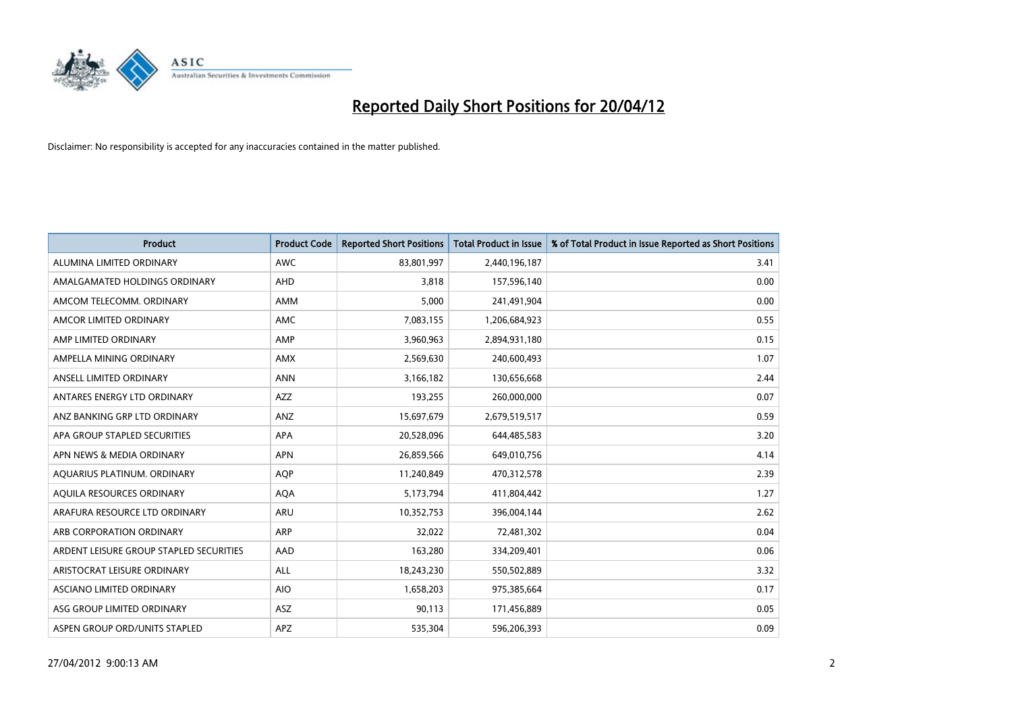

| <b>Product</b>                          | <b>Product Code</b> | <b>Reported Short Positions</b> | <b>Total Product in Issue</b> | % of Total Product in Issue Reported as Short Positions |
|-----------------------------------------|---------------------|---------------------------------|-------------------------------|---------------------------------------------------------|
| ALUMINA LIMITED ORDINARY                | <b>AWC</b>          | 83,801,997                      | 2,440,196,187                 | 3.41                                                    |
| AMALGAMATED HOLDINGS ORDINARY           | <b>AHD</b>          | 3,818                           | 157,596,140                   | 0.00                                                    |
| AMCOM TELECOMM. ORDINARY                | AMM                 | 5,000                           | 241,491,904                   | 0.00                                                    |
| AMCOR LIMITED ORDINARY                  | AMC                 | 7,083,155                       | 1,206,684,923                 | 0.55                                                    |
| AMP LIMITED ORDINARY                    | AMP                 | 3,960,963                       | 2,894,931,180                 | 0.15                                                    |
| AMPELLA MINING ORDINARY                 | AMX                 | 2,569,630                       | 240,600,493                   | 1.07                                                    |
| ANSELL LIMITED ORDINARY                 | <b>ANN</b>          | 3,166,182                       | 130,656,668                   | 2.44                                                    |
| ANTARES ENERGY LTD ORDINARY             | AZZ                 | 193,255                         | 260,000,000                   | 0.07                                                    |
| ANZ BANKING GRP LTD ORDINARY            | ANZ                 | 15,697,679                      | 2,679,519,517                 | 0.59                                                    |
| APA GROUP STAPLED SECURITIES            | <b>APA</b>          | 20,528,096                      | 644,485,583                   | 3.20                                                    |
| APN NEWS & MEDIA ORDINARY               | <b>APN</b>          | 26,859,566                      | 649,010,756                   | 4.14                                                    |
| AQUARIUS PLATINUM. ORDINARY             | <b>AOP</b>          | 11,240,849                      | 470,312,578                   | 2.39                                                    |
| AQUILA RESOURCES ORDINARY               | <b>AQA</b>          | 5,173,794                       | 411,804,442                   | 1.27                                                    |
| ARAFURA RESOURCE LTD ORDINARY           | ARU                 | 10,352,753                      | 396,004,144                   | 2.62                                                    |
| ARB CORPORATION ORDINARY                | ARP                 | 32,022                          | 72,481,302                    | 0.04                                                    |
| ARDENT LEISURE GROUP STAPLED SECURITIES | AAD                 | 163,280                         | 334,209,401                   | 0.06                                                    |
| ARISTOCRAT LEISURE ORDINARY             | ALL                 | 18,243,230                      | 550,502,889                   | 3.32                                                    |
| ASCIANO LIMITED ORDINARY                | <b>AIO</b>          | 1,658,203                       | 975,385,664                   | 0.17                                                    |
| ASG GROUP LIMITED ORDINARY              | ASZ                 | 90,113                          | 171,456,889                   | 0.05                                                    |
| ASPEN GROUP ORD/UNITS STAPLED           | APZ                 | 535,304                         | 596,206,393                   | 0.09                                                    |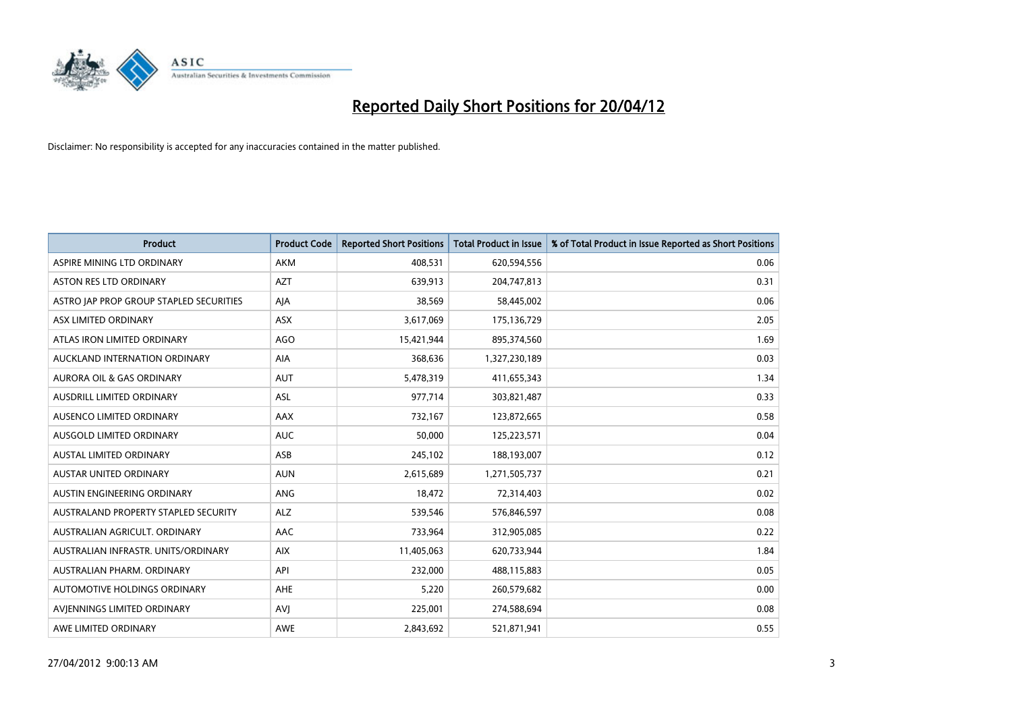

| <b>Product</b>                          | <b>Product Code</b> | <b>Reported Short Positions</b> | <b>Total Product in Issue</b> | % of Total Product in Issue Reported as Short Positions |
|-----------------------------------------|---------------------|---------------------------------|-------------------------------|---------------------------------------------------------|
| ASPIRE MINING LTD ORDINARY              | AKM                 | 408,531                         | 620,594,556                   | 0.06                                                    |
| ASTON RES LTD ORDINARY                  | <b>AZT</b>          | 639,913                         | 204,747,813                   | 0.31                                                    |
| ASTRO JAP PROP GROUP STAPLED SECURITIES | AJA                 | 38,569                          | 58,445,002                    | 0.06                                                    |
| ASX LIMITED ORDINARY                    | ASX                 | 3,617,069                       | 175,136,729                   | 2.05                                                    |
| ATLAS IRON LIMITED ORDINARY             | <b>AGO</b>          | 15,421,944                      | 895,374,560                   | 1.69                                                    |
| AUCKLAND INTERNATION ORDINARY           | AIA                 | 368,636                         | 1,327,230,189                 | 0.03                                                    |
| AURORA OIL & GAS ORDINARY               | <b>AUT</b>          | 5,478,319                       | 411,655,343                   | 1.34                                                    |
| AUSDRILL LIMITED ORDINARY               | ASL                 | 977,714                         | 303,821,487                   | 0.33                                                    |
| AUSENCO LIMITED ORDINARY                | AAX                 | 732,167                         | 123,872,665                   | 0.58                                                    |
| AUSGOLD LIMITED ORDINARY                | <b>AUC</b>          | 50,000                          | 125,223,571                   | 0.04                                                    |
| <b>AUSTAL LIMITED ORDINARY</b>          | ASB                 | 245,102                         | 188,193,007                   | 0.12                                                    |
| <b>AUSTAR UNITED ORDINARY</b>           | <b>AUN</b>          | 2,615,689                       | 1,271,505,737                 | 0.21                                                    |
| AUSTIN ENGINEERING ORDINARY             | ANG                 | 18,472                          | 72,314,403                    | 0.02                                                    |
| AUSTRALAND PROPERTY STAPLED SECURITY    | <b>ALZ</b>          | 539,546                         | 576,846,597                   | 0.08                                                    |
| AUSTRALIAN AGRICULT. ORDINARY           | AAC                 | 733,964                         | 312,905,085                   | 0.22                                                    |
| AUSTRALIAN INFRASTR, UNITS/ORDINARY     | <b>AIX</b>          | 11,405,063                      | 620,733,944                   | 1.84                                                    |
| AUSTRALIAN PHARM, ORDINARY              | API                 | 232,000                         | 488,115,883                   | 0.05                                                    |
| AUTOMOTIVE HOLDINGS ORDINARY            | AHE                 | 5,220                           | 260,579,682                   | 0.00                                                    |
| AVIENNINGS LIMITED ORDINARY             | <b>AVI</b>          | 225,001                         | 274,588,694                   | 0.08                                                    |
| AWE LIMITED ORDINARY                    | <b>AWE</b>          | 2,843,692                       | 521,871,941                   | 0.55                                                    |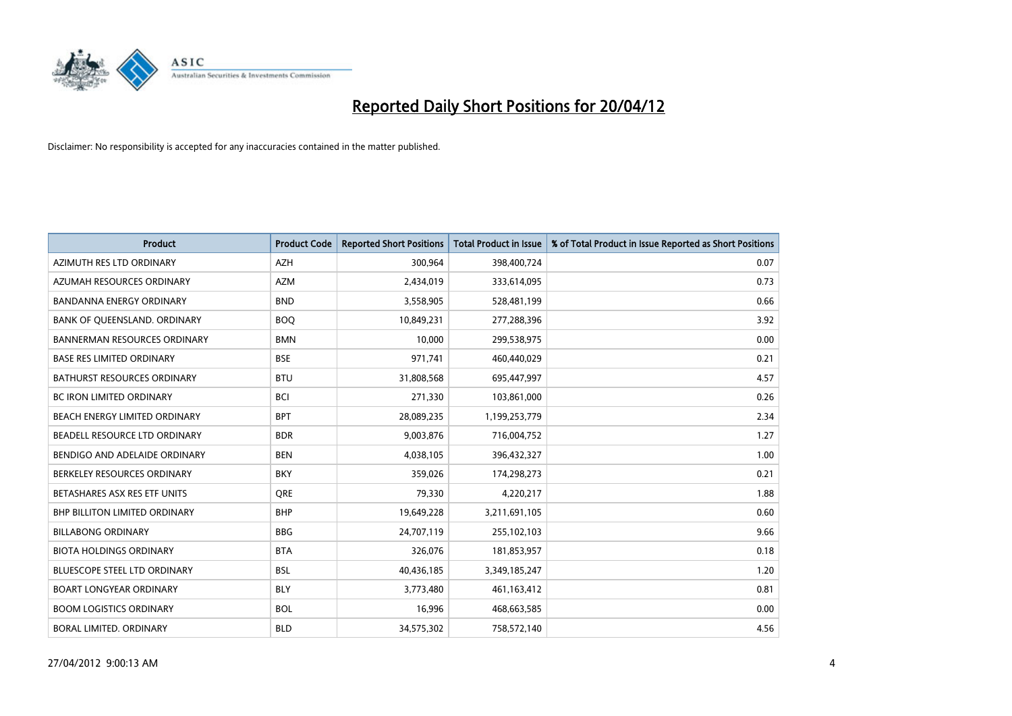

| <b>Product</b>                       | <b>Product Code</b> | <b>Reported Short Positions</b> | <b>Total Product in Issue</b> | % of Total Product in Issue Reported as Short Positions |
|--------------------------------------|---------------------|---------------------------------|-------------------------------|---------------------------------------------------------|
| AZIMUTH RES LTD ORDINARY             | <b>AZH</b>          | 300,964                         | 398,400,724                   | 0.07                                                    |
| AZUMAH RESOURCES ORDINARY            | <b>AZM</b>          | 2,434,019                       | 333,614,095                   | 0.73                                                    |
| <b>BANDANNA ENERGY ORDINARY</b>      | <b>BND</b>          | 3,558,905                       | 528,481,199                   | 0.66                                                    |
| BANK OF QUEENSLAND. ORDINARY         | <b>BOO</b>          | 10,849,231                      | 277,288,396                   | 3.92                                                    |
| <b>BANNERMAN RESOURCES ORDINARY</b>  | <b>BMN</b>          | 10,000                          | 299,538,975                   | 0.00                                                    |
| <b>BASE RES LIMITED ORDINARY</b>     | <b>BSE</b>          | 971,741                         | 460,440,029                   | 0.21                                                    |
| BATHURST RESOURCES ORDINARY          | <b>BTU</b>          | 31,808,568                      | 695,447,997                   | 4.57                                                    |
| BC IRON LIMITED ORDINARY             | <b>BCI</b>          | 271,330                         | 103,861,000                   | 0.26                                                    |
| BEACH ENERGY LIMITED ORDINARY        | <b>BPT</b>          | 28,089,235                      | 1,199,253,779                 | 2.34                                                    |
| BEADELL RESOURCE LTD ORDINARY        | <b>BDR</b>          | 9,003,876                       | 716,004,752                   | 1.27                                                    |
| BENDIGO AND ADELAIDE ORDINARY        | <b>BEN</b>          | 4,038,105                       | 396,432,327                   | 1.00                                                    |
| BERKELEY RESOURCES ORDINARY          | <b>BKY</b>          | 359,026                         | 174,298,273                   | 0.21                                                    |
| BETASHARES ASX RES ETF UNITS         | <b>ORE</b>          | 79,330                          | 4,220,217                     | 1.88                                                    |
| <b>BHP BILLITON LIMITED ORDINARY</b> | <b>BHP</b>          | 19,649,228                      | 3,211,691,105                 | 0.60                                                    |
| <b>BILLABONG ORDINARY</b>            | <b>BBG</b>          | 24,707,119                      | 255,102,103                   | 9.66                                                    |
| <b>BIOTA HOLDINGS ORDINARY</b>       | <b>BTA</b>          | 326,076                         | 181,853,957                   | 0.18                                                    |
| BLUESCOPE STEEL LTD ORDINARY         | <b>BSL</b>          | 40,436,185                      | 3,349,185,247                 | 1.20                                                    |
| <b>BOART LONGYEAR ORDINARY</b>       | <b>BLY</b>          | 3,773,480                       | 461,163,412                   | 0.81                                                    |
| <b>BOOM LOGISTICS ORDINARY</b>       | <b>BOL</b>          | 16,996                          | 468,663,585                   | 0.00                                                    |
| BORAL LIMITED. ORDINARY              | <b>BLD</b>          | 34,575,302                      | 758,572,140                   | 4.56                                                    |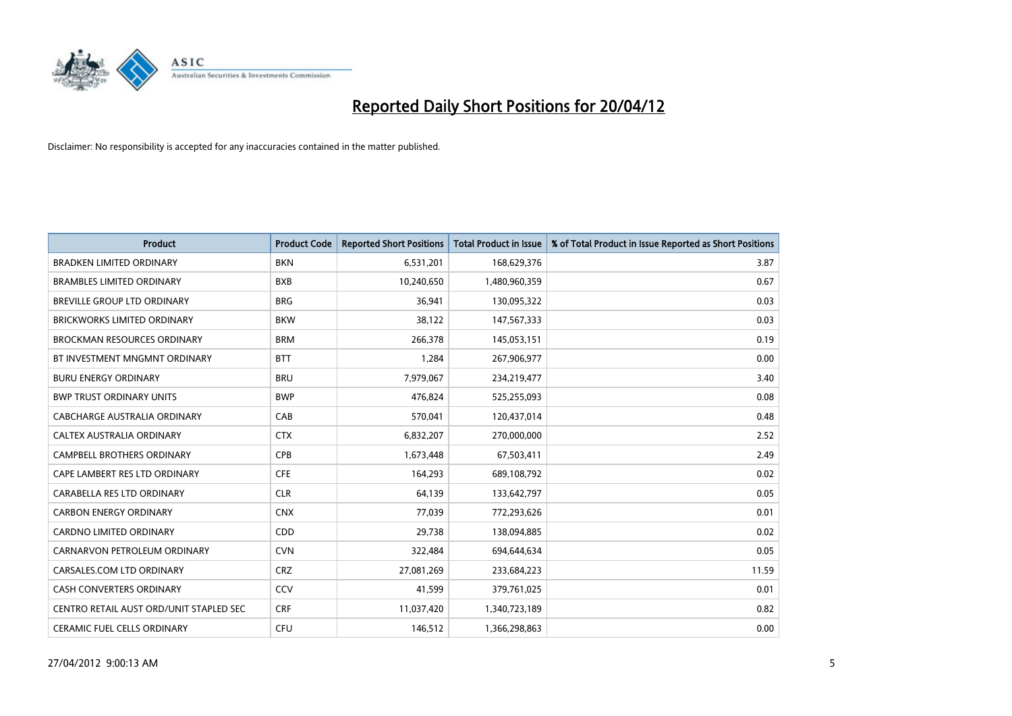

| <b>Product</b>                          | <b>Product Code</b> | <b>Reported Short Positions</b> | <b>Total Product in Issue</b> | % of Total Product in Issue Reported as Short Positions |
|-----------------------------------------|---------------------|---------------------------------|-------------------------------|---------------------------------------------------------|
| <b>BRADKEN LIMITED ORDINARY</b>         | <b>BKN</b>          | 6,531,201                       | 168,629,376                   | 3.87                                                    |
| <b>BRAMBLES LIMITED ORDINARY</b>        | <b>BXB</b>          | 10,240,650                      | 1,480,960,359                 | 0.67                                                    |
| BREVILLE GROUP LTD ORDINARY             | <b>BRG</b>          | 36,941                          | 130,095,322                   | 0.03                                                    |
| BRICKWORKS LIMITED ORDINARY             | <b>BKW</b>          | 38,122                          | 147,567,333                   | 0.03                                                    |
| <b>BROCKMAN RESOURCES ORDINARY</b>      | <b>BRM</b>          | 266,378                         | 145,053,151                   | 0.19                                                    |
| BT INVESTMENT MNGMNT ORDINARY           | <b>BTT</b>          | 1,284                           | 267,906,977                   | 0.00                                                    |
| <b>BURU ENERGY ORDINARY</b>             | <b>BRU</b>          | 7,979,067                       | 234,219,477                   | 3.40                                                    |
| <b>BWP TRUST ORDINARY UNITS</b>         | <b>BWP</b>          | 476,824                         | 525,255,093                   | 0.08                                                    |
| CABCHARGE AUSTRALIA ORDINARY            | CAB                 | 570,041                         | 120,437,014                   | 0.48                                                    |
| CALTEX AUSTRALIA ORDINARY               | <b>CTX</b>          | 6,832,207                       | 270,000,000                   | 2.52                                                    |
| CAMPBELL BROTHERS ORDINARY              | <b>CPB</b>          | 1,673,448                       | 67,503,411                    | 2.49                                                    |
| CAPE LAMBERT RES LTD ORDINARY           | <b>CFE</b>          | 164,293                         | 689,108,792                   | 0.02                                                    |
| CARABELLA RES LTD ORDINARY              | <b>CLR</b>          | 64,139                          | 133,642,797                   | 0.05                                                    |
| <b>CARBON ENERGY ORDINARY</b>           | <b>CNX</b>          | 77,039                          | 772,293,626                   | 0.01                                                    |
| <b>CARDNO LIMITED ORDINARY</b>          | CDD                 | 29,738                          | 138,094,885                   | 0.02                                                    |
| CARNARVON PETROLEUM ORDINARY            | <b>CVN</b>          | 322,484                         | 694,644,634                   | 0.05                                                    |
| CARSALES.COM LTD ORDINARY               | <b>CRZ</b>          | 27,081,269                      | 233,684,223                   | 11.59                                                   |
| CASH CONVERTERS ORDINARY                | CCV                 | 41,599                          | 379,761,025                   | 0.01                                                    |
| CENTRO RETAIL AUST ORD/UNIT STAPLED SEC | <b>CRF</b>          | 11,037,420                      | 1,340,723,189                 | 0.82                                                    |
| CERAMIC FUEL CELLS ORDINARY             | <b>CFU</b>          | 146,512                         | 1,366,298,863                 | 0.00                                                    |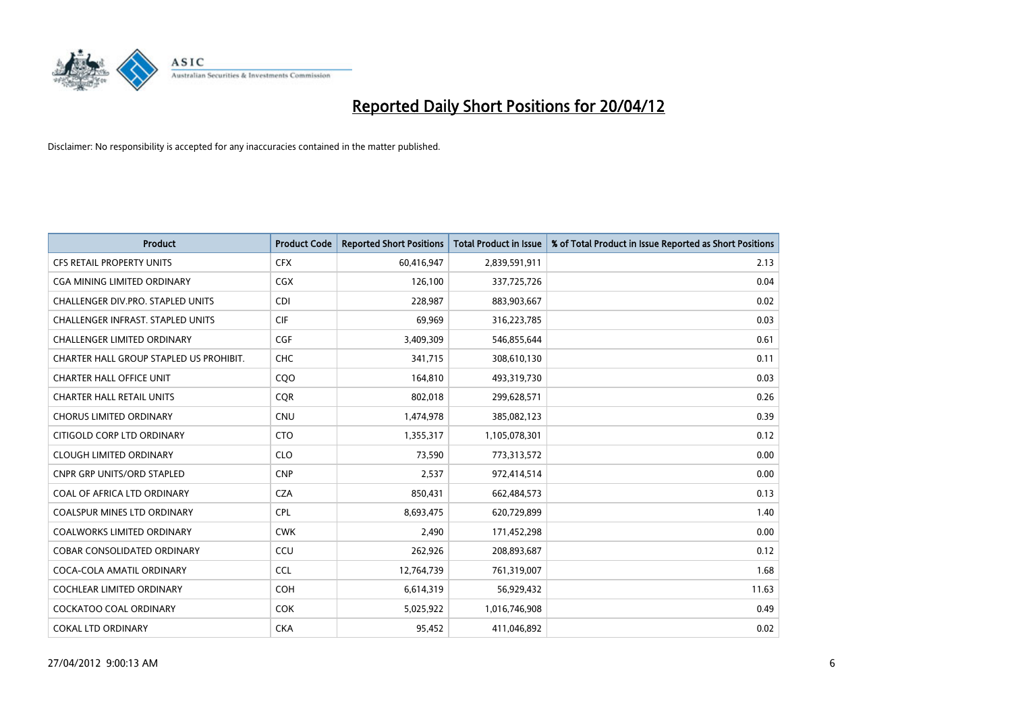

| <b>Product</b>                           | <b>Product Code</b> | <b>Reported Short Positions</b> | <b>Total Product in Issue</b> | % of Total Product in Issue Reported as Short Positions |
|------------------------------------------|---------------------|---------------------------------|-------------------------------|---------------------------------------------------------|
| <b>CFS RETAIL PROPERTY UNITS</b>         | <b>CFX</b>          | 60,416,947                      | 2,839,591,911                 | 2.13                                                    |
| CGA MINING LIMITED ORDINARY              | <b>CGX</b>          | 126,100                         | 337,725,726                   | 0.04                                                    |
| CHALLENGER DIV.PRO. STAPLED UNITS        | <b>CDI</b>          | 228,987                         | 883,903,667                   | 0.02                                                    |
| <b>CHALLENGER INFRAST, STAPLED UNITS</b> | <b>CIF</b>          | 69,969                          | 316,223,785                   | 0.03                                                    |
| <b>CHALLENGER LIMITED ORDINARY</b>       | <b>CGF</b>          | 3,409,309                       | 546,855,644                   | 0.61                                                    |
| CHARTER HALL GROUP STAPLED US PROHIBIT.  | CHC                 | 341,715                         | 308,610,130                   | 0.11                                                    |
| <b>CHARTER HALL OFFICE UNIT</b>          | CQ <sub>O</sub>     | 164,810                         | 493,319,730                   | 0.03                                                    |
| <b>CHARTER HALL RETAIL UNITS</b>         | <b>COR</b>          | 802,018                         | 299,628,571                   | 0.26                                                    |
| <b>CHORUS LIMITED ORDINARY</b>           | <b>CNU</b>          | 1,474,978                       | 385,082,123                   | 0.39                                                    |
| CITIGOLD CORP LTD ORDINARY               | <b>CTO</b>          | 1,355,317                       | 1,105,078,301                 | 0.12                                                    |
| <b>CLOUGH LIMITED ORDINARY</b>           | <b>CLO</b>          | 73,590                          | 773,313,572                   | 0.00                                                    |
| CNPR GRP UNITS/ORD STAPLED               | <b>CNP</b>          | 2,537                           | 972,414,514                   | 0.00                                                    |
| COAL OF AFRICA LTD ORDINARY              | <b>CZA</b>          | 850,431                         | 662,484,573                   | 0.13                                                    |
| <b>COALSPUR MINES LTD ORDINARY</b>       | <b>CPL</b>          | 8,693,475                       | 620,729,899                   | 1.40                                                    |
| <b>COALWORKS LIMITED ORDINARY</b>        | <b>CWK</b>          | 2,490                           | 171,452,298                   | 0.00                                                    |
| COBAR CONSOLIDATED ORDINARY              | CCU                 | 262,926                         | 208,893,687                   | 0.12                                                    |
| COCA-COLA AMATIL ORDINARY                | <b>CCL</b>          | 12,764,739                      | 761,319,007                   | 1.68                                                    |
| COCHLEAR LIMITED ORDINARY                | <b>COH</b>          | 6,614,319                       | 56,929,432                    | 11.63                                                   |
| <b>COCKATOO COAL ORDINARY</b>            | <b>COK</b>          | 5,025,922                       | 1,016,746,908                 | 0.49                                                    |
| <b>COKAL LTD ORDINARY</b>                | <b>CKA</b>          | 95,452                          | 411,046,892                   | 0.02                                                    |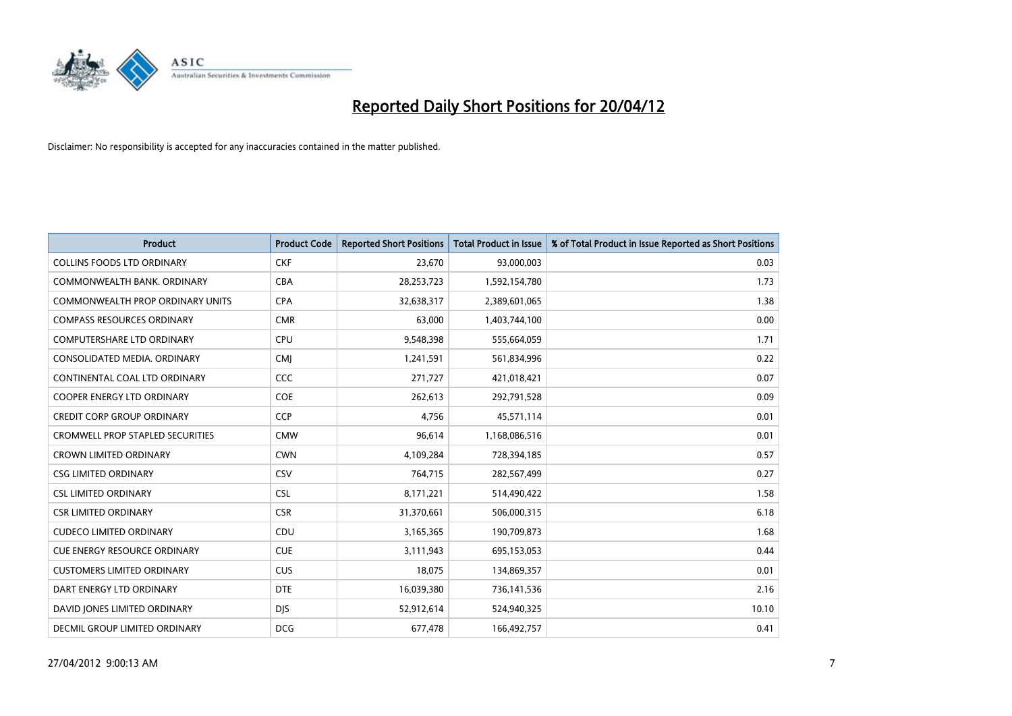

| <b>Product</b>                          | <b>Product Code</b> | <b>Reported Short Positions</b> | <b>Total Product in Issue</b> | % of Total Product in Issue Reported as Short Positions |
|-----------------------------------------|---------------------|---------------------------------|-------------------------------|---------------------------------------------------------|
| <b>COLLINS FOODS LTD ORDINARY</b>       | <b>CKF</b>          | 23,670                          | 93,000,003                    | 0.03                                                    |
| COMMONWEALTH BANK, ORDINARY             | <b>CBA</b>          | 28,253,723                      | 1,592,154,780                 | 1.73                                                    |
| <b>COMMONWEALTH PROP ORDINARY UNITS</b> | <b>CPA</b>          | 32,638,317                      | 2,389,601,065                 | 1.38                                                    |
| <b>COMPASS RESOURCES ORDINARY</b>       | <b>CMR</b>          | 63,000                          | 1,403,744,100                 | 0.00                                                    |
| <b>COMPUTERSHARE LTD ORDINARY</b>       | <b>CPU</b>          | 9,548,398                       | 555,664,059                   | 1.71                                                    |
| CONSOLIDATED MEDIA, ORDINARY            | <b>CMI</b>          | 1,241,591                       | 561,834,996                   | 0.22                                                    |
| CONTINENTAL COAL LTD ORDINARY           | CCC                 | 271,727                         | 421,018,421                   | 0.07                                                    |
| COOPER ENERGY LTD ORDINARY              | <b>COE</b>          | 262,613                         | 292,791,528                   | 0.09                                                    |
| <b>CREDIT CORP GROUP ORDINARY</b>       | CCP                 | 4.756                           | 45,571,114                    | 0.01                                                    |
| <b>CROMWELL PROP STAPLED SECURITIES</b> | <b>CMW</b>          | 96,614                          | 1,168,086,516                 | 0.01                                                    |
| <b>CROWN LIMITED ORDINARY</b>           | <b>CWN</b>          | 4,109,284                       | 728,394,185                   | 0.57                                                    |
| <b>CSG LIMITED ORDINARY</b>             | CSV                 | 764,715                         | 282,567,499                   | 0.27                                                    |
| <b>CSL LIMITED ORDINARY</b>             | <b>CSL</b>          | 8,171,221                       | 514,490,422                   | 1.58                                                    |
| <b>CSR LIMITED ORDINARY</b>             | <b>CSR</b>          | 31,370,661                      | 506,000,315                   | 6.18                                                    |
| <b>CUDECO LIMITED ORDINARY</b>          | CDU                 | 3,165,365                       | 190,709,873                   | 1.68                                                    |
| <b>CUE ENERGY RESOURCE ORDINARY</b>     | <b>CUE</b>          | 3,111,943                       | 695,153,053                   | 0.44                                                    |
| <b>CUSTOMERS LIMITED ORDINARY</b>       | <b>CUS</b>          | 18,075                          | 134,869,357                   | 0.01                                                    |
| DART ENERGY LTD ORDINARY                | <b>DTE</b>          | 16,039,380                      | 736,141,536                   | 2.16                                                    |
| DAVID JONES LIMITED ORDINARY            | <b>DJS</b>          | 52,912,614                      | 524,940,325                   | 10.10                                                   |
| DECMIL GROUP LIMITED ORDINARY           | <b>DCG</b>          | 677,478                         | 166,492,757                   | 0.41                                                    |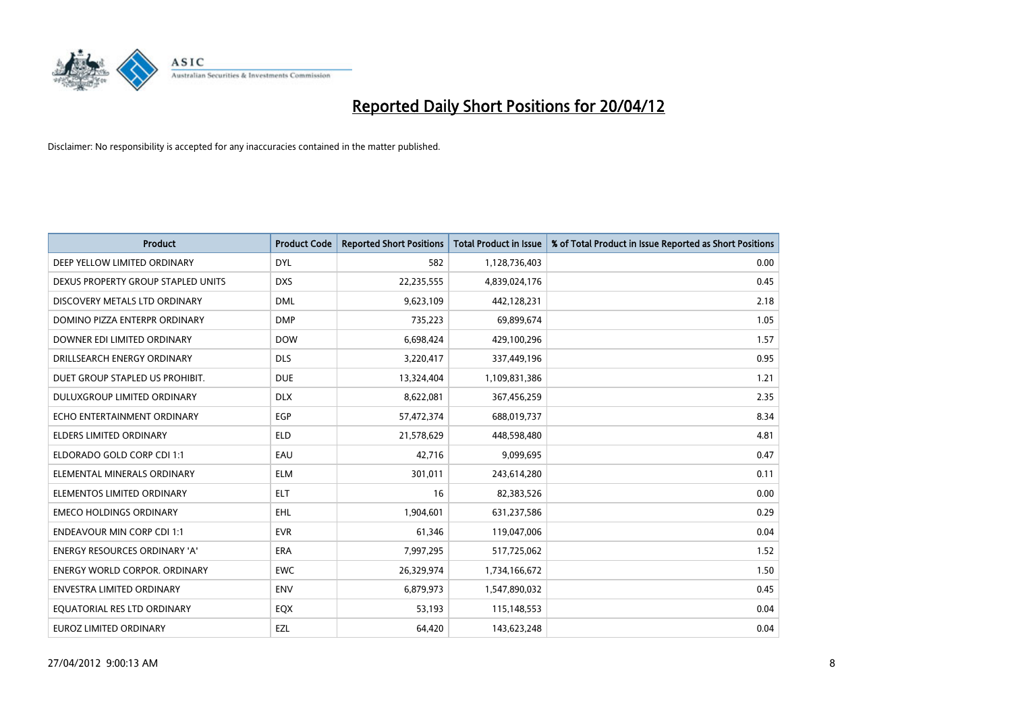

| <b>Product</b>                     | <b>Product Code</b> | <b>Reported Short Positions</b> | <b>Total Product in Issue</b> | % of Total Product in Issue Reported as Short Positions |
|------------------------------------|---------------------|---------------------------------|-------------------------------|---------------------------------------------------------|
| DEEP YELLOW LIMITED ORDINARY       | <b>DYL</b>          | 582                             | 1,128,736,403                 | 0.00                                                    |
| DEXUS PROPERTY GROUP STAPLED UNITS | <b>DXS</b>          | 22,235,555                      | 4,839,024,176                 | 0.45                                                    |
| DISCOVERY METALS LTD ORDINARY      | <b>DML</b>          | 9,623,109                       | 442,128,231                   | 2.18                                                    |
| DOMINO PIZZA ENTERPR ORDINARY      | <b>DMP</b>          | 735,223                         | 69,899,674                    | 1.05                                                    |
| DOWNER EDI LIMITED ORDINARY        | <b>DOW</b>          | 6,698,424                       | 429,100,296                   | 1.57                                                    |
| DRILLSEARCH ENERGY ORDINARY        | <b>DLS</b>          | 3,220,417                       | 337,449,196                   | 0.95                                                    |
| DUET GROUP STAPLED US PROHIBIT.    | <b>DUE</b>          | 13,324,404                      | 1,109,831,386                 | 1.21                                                    |
| DULUXGROUP LIMITED ORDINARY        | <b>DLX</b>          | 8,622,081                       | 367,456,259                   | 2.35                                                    |
| ECHO ENTERTAINMENT ORDINARY        | <b>EGP</b>          | 57,472,374                      | 688,019,737                   | 8.34                                                    |
| <b>ELDERS LIMITED ORDINARY</b>     | <b>ELD</b>          | 21,578,629                      | 448,598,480                   | 4.81                                                    |
| ELDORADO GOLD CORP CDI 1:1         | EAU                 | 42,716                          | 9,099,695                     | 0.47                                                    |
| ELEMENTAL MINERALS ORDINARY        | <b>ELM</b>          | 301,011                         | 243,614,280                   | 0.11                                                    |
| ELEMENTOS LIMITED ORDINARY         | <b>ELT</b>          | 16                              | 82,383,526                    | 0.00                                                    |
| <b>EMECO HOLDINGS ORDINARY</b>     | <b>EHL</b>          | 1,904,601                       | 631,237,586                   | 0.29                                                    |
| <b>ENDEAVOUR MIN CORP CDI 1:1</b>  | <b>EVR</b>          | 61,346                          | 119,047,006                   | 0.04                                                    |
| ENERGY RESOURCES ORDINARY 'A'      | ERA                 | 7,997,295                       | 517,725,062                   | 1.52                                                    |
| ENERGY WORLD CORPOR. ORDINARY      | <b>EWC</b>          | 26,329,974                      | 1,734,166,672                 | 1.50                                                    |
| <b>ENVESTRA LIMITED ORDINARY</b>   | <b>ENV</b>          | 6,879,973                       | 1,547,890,032                 | 0.45                                                    |
| EQUATORIAL RES LTD ORDINARY        | EQX                 | 53,193                          | 115,148,553                   | 0.04                                                    |
| <b>EUROZ LIMITED ORDINARY</b>      | EZL                 | 64,420                          | 143,623,248                   | 0.04                                                    |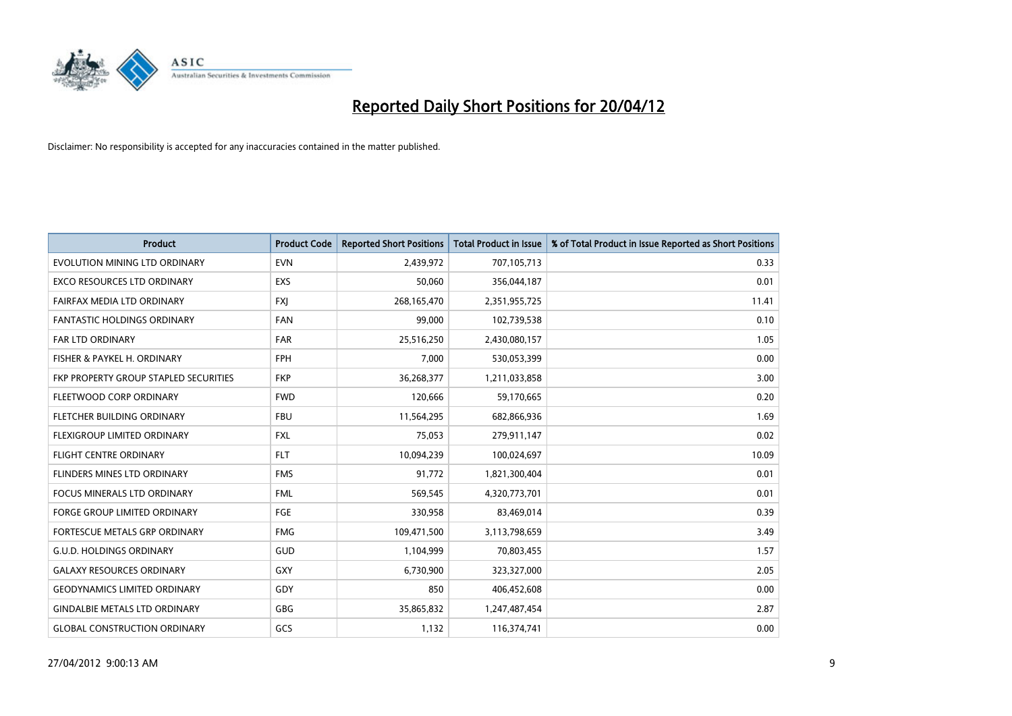

| <b>Product</b>                        | <b>Product Code</b> | <b>Reported Short Positions</b> | <b>Total Product in Issue</b> | % of Total Product in Issue Reported as Short Positions |
|---------------------------------------|---------------------|---------------------------------|-------------------------------|---------------------------------------------------------|
| EVOLUTION MINING LTD ORDINARY         | <b>EVN</b>          | 2,439,972                       | 707,105,713                   | 0.33                                                    |
| EXCO RESOURCES LTD ORDINARY           | EXS                 | 50,060                          | 356,044,187                   | 0.01                                                    |
| FAIRFAX MEDIA LTD ORDINARY            | <b>FXI</b>          | 268,165,470                     | 2,351,955,725                 | 11.41                                                   |
| FANTASTIC HOLDINGS ORDINARY           | <b>FAN</b>          | 99,000                          | 102,739,538                   | 0.10                                                    |
| <b>FAR LTD ORDINARY</b>               | <b>FAR</b>          | 25,516,250                      | 2,430,080,157                 | 1.05                                                    |
| FISHER & PAYKEL H. ORDINARY           | <b>FPH</b>          | 7,000                           | 530,053,399                   | 0.00                                                    |
| FKP PROPERTY GROUP STAPLED SECURITIES | <b>FKP</b>          | 36,268,377                      | 1,211,033,858                 | 3.00                                                    |
| FLEETWOOD CORP ORDINARY               | <b>FWD</b>          | 120,666                         | 59,170,665                    | 0.20                                                    |
| FLETCHER BUILDING ORDINARY            | <b>FBU</b>          | 11,564,295                      | 682,866,936                   | 1.69                                                    |
| FLEXIGROUP LIMITED ORDINARY           | <b>FXL</b>          | 75,053                          | 279,911,147                   | 0.02                                                    |
| FLIGHT CENTRE ORDINARY                | <b>FLT</b>          | 10,094,239                      | 100,024,697                   | 10.09                                                   |
| FLINDERS MINES LTD ORDINARY           | <b>FMS</b>          | 91,772                          | 1,821,300,404                 | 0.01                                                    |
| <b>FOCUS MINERALS LTD ORDINARY</b>    | <b>FML</b>          | 569,545                         | 4,320,773,701                 | 0.01                                                    |
| <b>FORGE GROUP LIMITED ORDINARY</b>   | FGE                 | 330,958                         | 83,469,014                    | 0.39                                                    |
| FORTESCUE METALS GRP ORDINARY         | <b>FMG</b>          | 109,471,500                     | 3,113,798,659                 | 3.49                                                    |
| <b>G.U.D. HOLDINGS ORDINARY</b>       | GUD                 | 1,104,999                       | 70,803,455                    | 1.57                                                    |
| <b>GALAXY RESOURCES ORDINARY</b>      | GXY                 | 6,730,900                       | 323,327,000                   | 2.05                                                    |
| <b>GEODYNAMICS LIMITED ORDINARY</b>   | GDY                 | 850                             | 406,452,608                   | 0.00                                                    |
| <b>GINDALBIE METALS LTD ORDINARY</b>  | GBG                 | 35,865,832                      | 1,247,487,454                 | 2.87                                                    |
| <b>GLOBAL CONSTRUCTION ORDINARY</b>   | GCS                 | 1,132                           | 116,374,741                   | 0.00                                                    |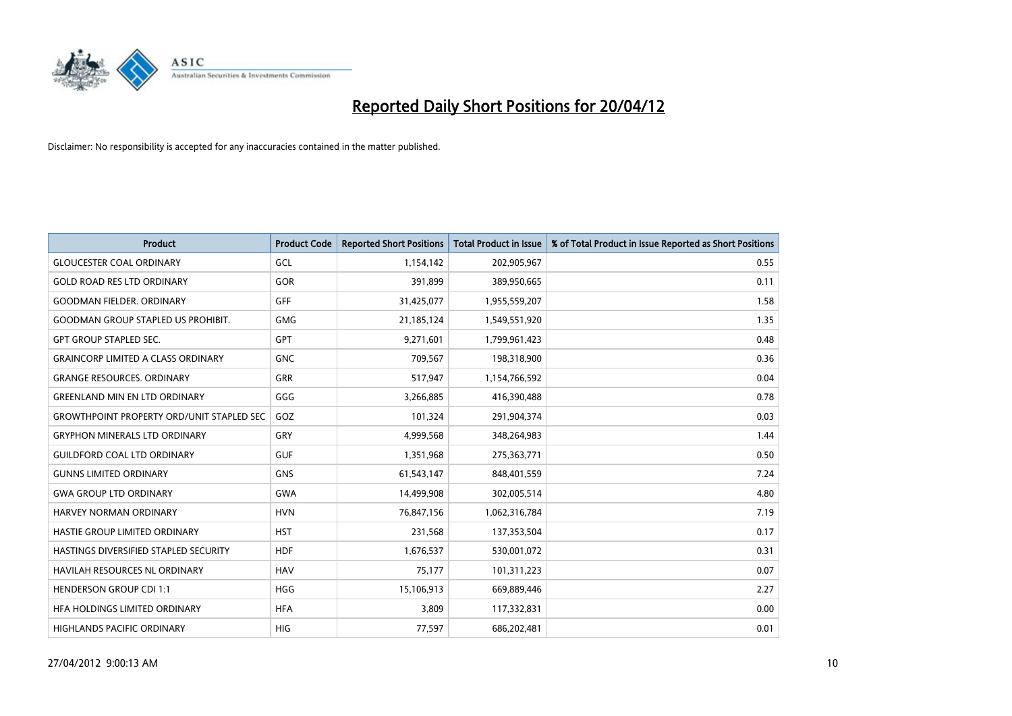

| <b>Product</b>                                   | <b>Product Code</b> | <b>Reported Short Positions</b> | <b>Total Product in Issue</b> | % of Total Product in Issue Reported as Short Positions |
|--------------------------------------------------|---------------------|---------------------------------|-------------------------------|---------------------------------------------------------|
| <b>GLOUCESTER COAL ORDINARY</b>                  | GCL                 | 1,154,142                       | 202,905,967                   | 0.55                                                    |
| <b>GOLD ROAD RES LTD ORDINARY</b>                | GOR                 | 391,899                         | 389,950,665                   | 0.11                                                    |
| <b>GOODMAN FIELDER, ORDINARY</b>                 | <b>GFF</b>          | 31,425,077                      | 1,955,559,207                 | 1.58                                                    |
| <b>GOODMAN GROUP STAPLED US PROHIBIT.</b>        | <b>GMG</b>          | 21,185,124                      | 1,549,551,920                 | 1.35                                                    |
| <b>GPT GROUP STAPLED SEC.</b>                    | GPT                 | 9,271,601                       | 1,799,961,423                 | 0.48                                                    |
| <b>GRAINCORP LIMITED A CLASS ORDINARY</b>        | <b>GNC</b>          | 709,567                         | 198,318,900                   | 0.36                                                    |
| <b>GRANGE RESOURCES, ORDINARY</b>                | <b>GRR</b>          | 517,947                         | 1,154,766,592                 | 0.04                                                    |
| <b>GREENLAND MIN EN LTD ORDINARY</b>             | GGG                 | 3,266,885                       | 416,390,488                   | 0.78                                                    |
| <b>GROWTHPOINT PROPERTY ORD/UNIT STAPLED SEC</b> | GOZ                 | 101,324                         | 291,904,374                   | 0.03                                                    |
| <b>GRYPHON MINERALS LTD ORDINARY</b>             | GRY                 | 4,999,568                       | 348,264,983                   | 1.44                                                    |
| <b>GUILDFORD COAL LTD ORDINARY</b>               | <b>GUF</b>          | 1,351,968                       | 275,363,771                   | 0.50                                                    |
| <b>GUNNS LIMITED ORDINARY</b>                    | <b>GNS</b>          | 61,543,147                      | 848,401,559                   | 7.24                                                    |
| <b>GWA GROUP LTD ORDINARY</b>                    | <b>GWA</b>          | 14,499,908                      | 302,005,514                   | 4.80                                                    |
| <b>HARVEY NORMAN ORDINARY</b>                    | <b>HVN</b>          | 76,847,156                      | 1,062,316,784                 | 7.19                                                    |
| HASTIE GROUP LIMITED ORDINARY                    | <b>HST</b>          | 231,568                         | 137,353,504                   | 0.17                                                    |
| HASTINGS DIVERSIFIED STAPLED SECURITY            | <b>HDF</b>          | 1,676,537                       | 530,001,072                   | 0.31                                                    |
| HAVILAH RESOURCES NL ORDINARY                    | <b>HAV</b>          | 75,177                          | 101,311,223                   | 0.07                                                    |
| <b>HENDERSON GROUP CDI 1:1</b>                   | <b>HGG</b>          | 15,106,913                      | 669,889,446                   | 2.27                                                    |
| HFA HOLDINGS LIMITED ORDINARY                    | <b>HFA</b>          | 3,809                           | 117,332,831                   | 0.00                                                    |
| HIGHLANDS PACIFIC ORDINARY                       | <b>HIG</b>          | 77,597                          | 686,202,481                   | 0.01                                                    |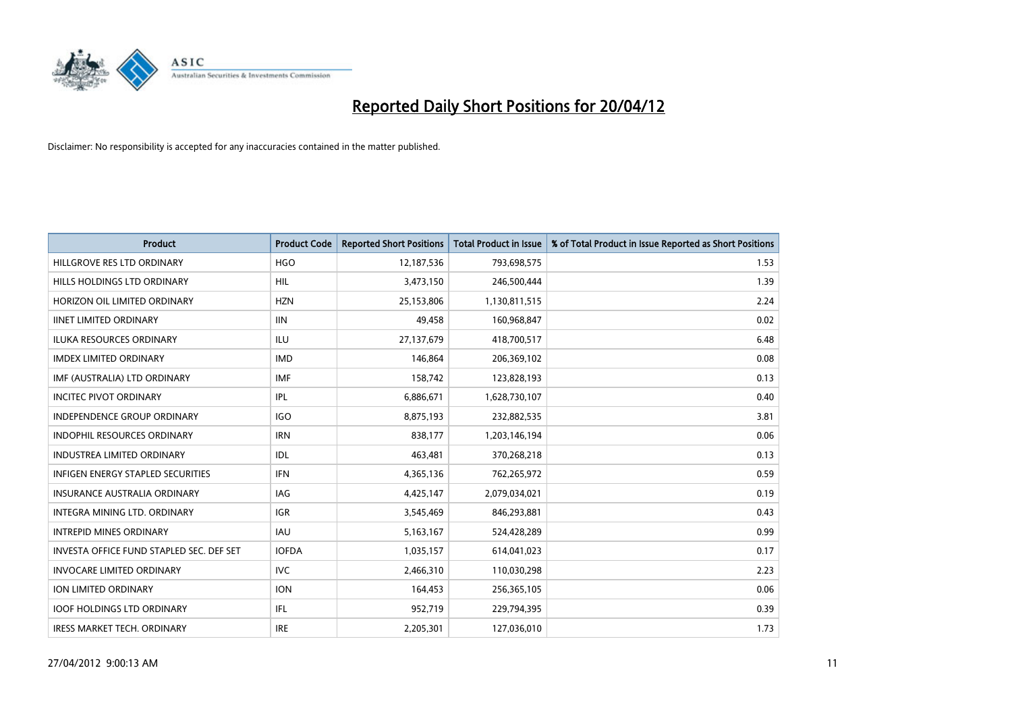

| <b>Product</b>                           | <b>Product Code</b> | <b>Reported Short Positions</b> | <b>Total Product in Issue</b> | % of Total Product in Issue Reported as Short Positions |
|------------------------------------------|---------------------|---------------------------------|-------------------------------|---------------------------------------------------------|
| HILLGROVE RES LTD ORDINARY               | <b>HGO</b>          | 12,187,536                      | 793,698,575                   | 1.53                                                    |
| HILLS HOLDINGS LTD ORDINARY              | <b>HIL</b>          | 3,473,150                       | 246,500,444                   | 1.39                                                    |
| HORIZON OIL LIMITED ORDINARY             | <b>HZN</b>          | 25,153,806                      | 1,130,811,515                 | 2.24                                                    |
| <b>IINET LIMITED ORDINARY</b>            | <b>IIN</b>          | 49,458                          | 160,968,847                   | 0.02                                                    |
| <b>ILUKA RESOURCES ORDINARY</b>          | <b>ILU</b>          | 27,137,679                      | 418,700,517                   | 6.48                                                    |
| <b>IMDEX LIMITED ORDINARY</b>            | <b>IMD</b>          | 146,864                         | 206,369,102                   | 0.08                                                    |
| IMF (AUSTRALIA) LTD ORDINARY             | <b>IMF</b>          | 158,742                         | 123,828,193                   | 0.13                                                    |
| <b>INCITEC PIVOT ORDINARY</b>            | IPL                 | 6,886,671                       | 1,628,730,107                 | 0.40                                                    |
| INDEPENDENCE GROUP ORDINARY              | <b>IGO</b>          | 8,875,193                       | 232,882,535                   | 3.81                                                    |
| <b>INDOPHIL RESOURCES ORDINARY</b>       | <b>IRN</b>          | 838,177                         | 1,203,146,194                 | 0.06                                                    |
| <b>INDUSTREA LIMITED ORDINARY</b>        | <b>IDL</b>          | 463,481                         | 370,268,218                   | 0.13                                                    |
| <b>INFIGEN ENERGY STAPLED SECURITIES</b> | <b>IFN</b>          | 4,365,136                       | 762,265,972                   | 0.59                                                    |
| <b>INSURANCE AUSTRALIA ORDINARY</b>      | IAG                 | 4,425,147                       | 2,079,034,021                 | 0.19                                                    |
| INTEGRA MINING LTD, ORDINARY             | <b>IGR</b>          | 3,545,469                       | 846,293,881                   | 0.43                                                    |
| <b>INTREPID MINES ORDINARY</b>           | <b>IAU</b>          | 5,163,167                       | 524,428,289                   | 0.99                                                    |
| INVESTA OFFICE FUND STAPLED SEC. DEF SET | <b>IOFDA</b>        | 1,035,157                       | 614,041,023                   | 0.17                                                    |
| <b>INVOCARE LIMITED ORDINARY</b>         | <b>IVC</b>          | 2,466,310                       | 110,030,298                   | 2.23                                                    |
| ION LIMITED ORDINARY                     | <b>ION</b>          | 164,453                         | 256,365,105                   | 0.06                                                    |
| <b>IOOF HOLDINGS LTD ORDINARY</b>        | IFL                 | 952,719                         | 229,794,395                   | 0.39                                                    |
| <b>IRESS MARKET TECH. ORDINARY</b>       | <b>IRE</b>          | 2,205,301                       | 127,036,010                   | 1.73                                                    |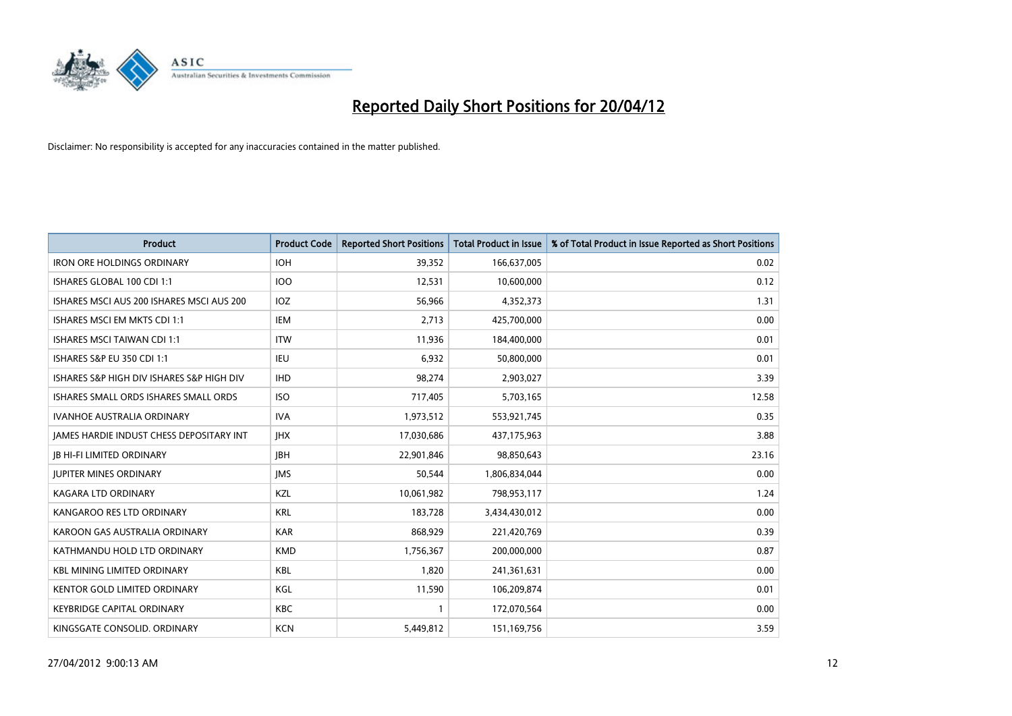

| <b>Product</b>                            | <b>Product Code</b> | <b>Reported Short Positions</b> | <b>Total Product in Issue</b> | % of Total Product in Issue Reported as Short Positions |
|-------------------------------------------|---------------------|---------------------------------|-------------------------------|---------------------------------------------------------|
| <b>IRON ORE HOLDINGS ORDINARY</b>         | <b>IOH</b>          | 39,352                          | 166,637,005                   | 0.02                                                    |
| ISHARES GLOBAL 100 CDI 1:1                | 100                 | 12,531                          | 10,600,000                    | 0.12                                                    |
| ISHARES MSCI AUS 200 ISHARES MSCI AUS 200 | IOZ                 | 56,966                          | 4,352,373                     | 1.31                                                    |
| ISHARES MSCI EM MKTS CDI 1:1              | IEM                 | 2,713                           | 425,700,000                   | 0.00                                                    |
| <b>ISHARES MSCI TAIWAN CDI 1:1</b>        | <b>ITW</b>          | 11,936                          | 184,400,000                   | 0.01                                                    |
| <b>ISHARES S&amp;P EU 350 CDI 1:1</b>     | <b>IEU</b>          | 6,932                           | 50,800,000                    | 0.01                                                    |
| ISHARES S&P HIGH DIV ISHARES S&P HIGH DIV | <b>IHD</b>          | 98,274                          | 2,903,027                     | 3.39                                                    |
| ISHARES SMALL ORDS ISHARES SMALL ORDS     | <b>ISO</b>          | 717,405                         | 5,703,165                     | 12.58                                                   |
| <b>IVANHOE AUSTRALIA ORDINARY</b>         | <b>IVA</b>          | 1,973,512                       | 553,921,745                   | 0.35                                                    |
| JAMES HARDIE INDUST CHESS DEPOSITARY INT  | <b>IHX</b>          | 17,030,686                      | 437,175,963                   | 3.88                                                    |
| JB HI-FI LIMITED ORDINARY                 | <b>IBH</b>          | 22,901,846                      | 98,850,643                    | 23.16                                                   |
| <b>JUPITER MINES ORDINARY</b>             | <b>IMS</b>          | 50,544                          | 1,806,834,044                 | 0.00                                                    |
| <b>KAGARA LTD ORDINARY</b>                | <b>KZL</b>          | 10,061,982                      | 798,953,117                   | 1.24                                                    |
| KANGAROO RES LTD ORDINARY                 | <b>KRL</b>          | 183,728                         | 3,434,430,012                 | 0.00                                                    |
| KAROON GAS AUSTRALIA ORDINARY             | <b>KAR</b>          | 868,929                         | 221,420,769                   | 0.39                                                    |
| KATHMANDU HOLD LTD ORDINARY               | <b>KMD</b>          | 1,756,367                       | 200,000,000                   | 0.87                                                    |
| <b>KBL MINING LIMITED ORDINARY</b>        | KBL                 | 1,820                           | 241,361,631                   | 0.00                                                    |
| KENTOR GOLD LIMITED ORDINARY              | KGL                 | 11,590                          | 106,209,874                   | 0.01                                                    |
| <b>KEYBRIDGE CAPITAL ORDINARY</b>         | <b>KBC</b>          | 1                               | 172,070,564                   | 0.00                                                    |
| KINGSGATE CONSOLID. ORDINARY              | <b>KCN</b>          | 5,449,812                       | 151,169,756                   | 3.59                                                    |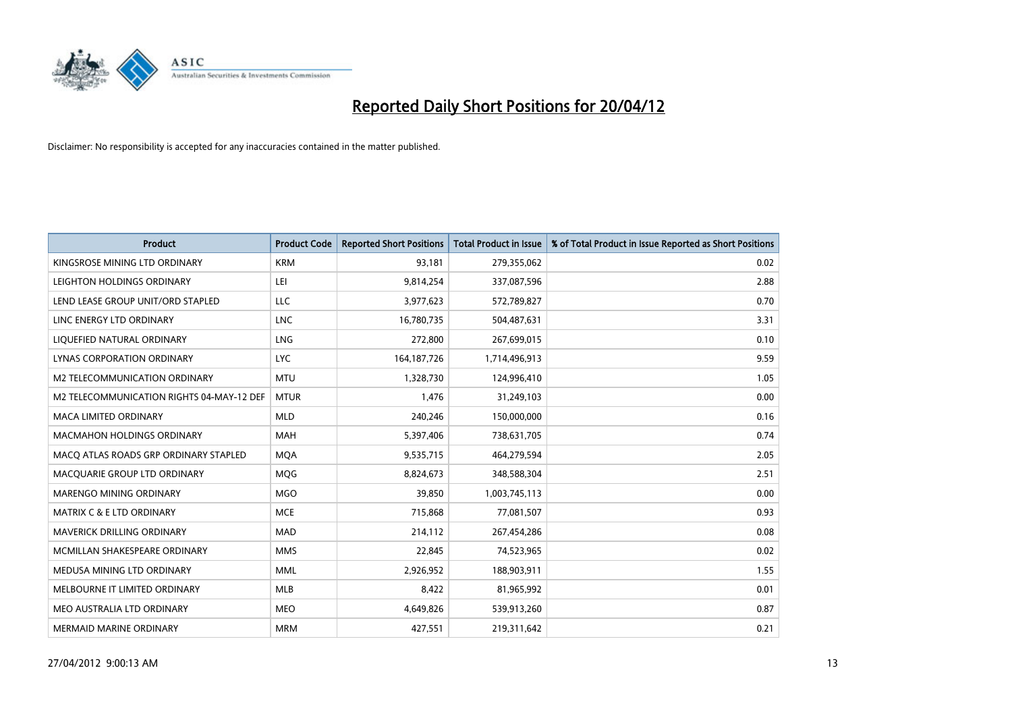

| <b>Product</b>                            | <b>Product Code</b> | <b>Reported Short Positions</b> | <b>Total Product in Issue</b> | % of Total Product in Issue Reported as Short Positions |
|-------------------------------------------|---------------------|---------------------------------|-------------------------------|---------------------------------------------------------|
| KINGSROSE MINING LTD ORDINARY             | <b>KRM</b>          | 93,181                          | 279,355,062                   | 0.02                                                    |
| LEIGHTON HOLDINGS ORDINARY                | LEI                 | 9,814,254                       | 337,087,596                   | 2.88                                                    |
| LEND LEASE GROUP UNIT/ORD STAPLED         | LLC                 | 3,977,623                       | 572,789,827                   | 0.70                                                    |
| LINC ENERGY LTD ORDINARY                  | <b>LNC</b>          | 16,780,735                      | 504,487,631                   | 3.31                                                    |
| LIOUEFIED NATURAL ORDINARY                | LNG                 | 272,800                         | 267,699,015                   | 0.10                                                    |
| LYNAS CORPORATION ORDINARY                | <b>LYC</b>          | 164, 187, 726                   | 1,714,496,913                 | 9.59                                                    |
| <b>M2 TELECOMMUNICATION ORDINARY</b>      | <b>MTU</b>          | 1,328,730                       | 124,996,410                   | 1.05                                                    |
| M2 TELECOMMUNICATION RIGHTS 04-MAY-12 DEF | <b>MTUR</b>         | 1,476                           | 31,249,103                    | 0.00                                                    |
| <b>MACA LIMITED ORDINARY</b>              | <b>MLD</b>          | 240,246                         | 150,000,000                   | 0.16                                                    |
| <b>MACMAHON HOLDINGS ORDINARY</b>         | <b>MAH</b>          | 5,397,406                       | 738,631,705                   | 0.74                                                    |
| MACO ATLAS ROADS GRP ORDINARY STAPLED     | <b>MOA</b>          | 9,535,715                       | 464,279,594                   | 2.05                                                    |
| MACQUARIE GROUP LTD ORDINARY              | <b>MQG</b>          | 8,824,673                       | 348,588,304                   | 2.51                                                    |
| MARENGO MINING ORDINARY                   | <b>MGO</b>          | 39,850                          | 1,003,745,113                 | 0.00                                                    |
| <b>MATRIX C &amp; E LTD ORDINARY</b>      | <b>MCE</b>          | 715,868                         | 77,081,507                    | 0.93                                                    |
| MAVERICK DRILLING ORDINARY                | <b>MAD</b>          | 214,112                         | 267,454,286                   | 0.08                                                    |
| MCMILLAN SHAKESPEARE ORDINARY             | <b>MMS</b>          | 22,845                          | 74,523,965                    | 0.02                                                    |
| MEDUSA MINING LTD ORDINARY                | <b>MML</b>          | 2,926,952                       | 188,903,911                   | 1.55                                                    |
| MELBOURNE IT LIMITED ORDINARY             | <b>MLB</b>          | 8,422                           | 81,965,992                    | 0.01                                                    |
| MEO AUSTRALIA LTD ORDINARY                | <b>MEO</b>          | 4,649,826                       | 539,913,260                   | 0.87                                                    |
| <b>MERMAID MARINE ORDINARY</b>            | <b>MRM</b>          | 427,551                         | 219,311,642                   | 0.21                                                    |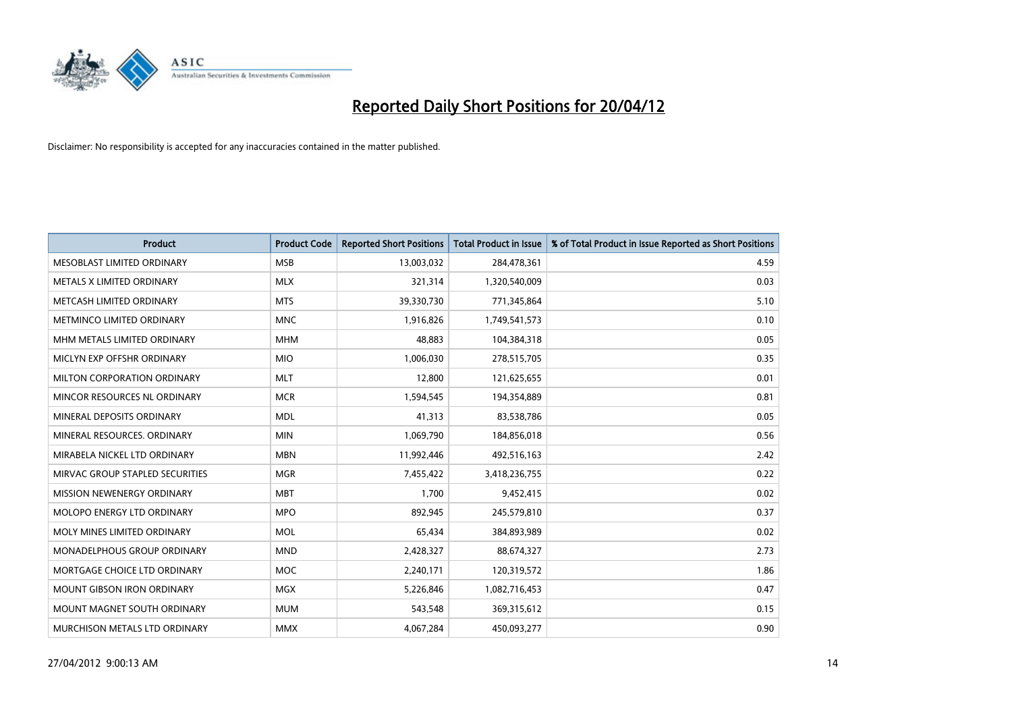

| <b>Product</b>                    | <b>Product Code</b> | <b>Reported Short Positions</b> | <b>Total Product in Issue</b> | % of Total Product in Issue Reported as Short Positions |
|-----------------------------------|---------------------|---------------------------------|-------------------------------|---------------------------------------------------------|
| MESOBLAST LIMITED ORDINARY        | <b>MSB</b>          | 13,003,032                      | 284,478,361                   | 4.59                                                    |
| METALS X LIMITED ORDINARY         | <b>MLX</b>          | 321,314                         | 1,320,540,009                 | 0.03                                                    |
| METCASH LIMITED ORDINARY          | <b>MTS</b>          | 39,330,730                      | 771,345,864                   | 5.10                                                    |
| METMINCO LIMITED ORDINARY         | <b>MNC</b>          | 1,916,826                       | 1,749,541,573                 | 0.10                                                    |
| MHM METALS LIMITED ORDINARY       | <b>MHM</b>          | 48,883                          | 104,384,318                   | 0.05                                                    |
| MICLYN EXP OFFSHR ORDINARY        | <b>MIO</b>          | 1,006,030                       | 278,515,705                   | 0.35                                                    |
| MILTON CORPORATION ORDINARY       | <b>MLT</b>          | 12,800                          | 121,625,655                   | 0.01                                                    |
| MINCOR RESOURCES NL ORDINARY      | <b>MCR</b>          | 1,594,545                       | 194,354,889                   | 0.81                                                    |
| MINERAL DEPOSITS ORDINARY         | <b>MDL</b>          | 41,313                          | 83,538,786                    | 0.05                                                    |
| MINERAL RESOURCES, ORDINARY       | <b>MIN</b>          | 1,069,790                       | 184,856,018                   | 0.56                                                    |
| MIRABELA NICKEL LTD ORDINARY      | <b>MBN</b>          | 11,992,446                      | 492,516,163                   | 2.42                                                    |
| MIRVAC GROUP STAPLED SECURITIES   | <b>MGR</b>          | 7,455,422                       | 3,418,236,755                 | 0.22                                                    |
| MISSION NEWENERGY ORDINARY        | <b>MBT</b>          | 1,700                           | 9,452,415                     | 0.02                                                    |
| MOLOPO ENERGY LTD ORDINARY        | <b>MPO</b>          | 892,945                         | 245,579,810                   | 0.37                                                    |
| MOLY MINES LIMITED ORDINARY       | <b>MOL</b>          | 65,434                          | 384,893,989                   | 0.02                                                    |
| MONADELPHOUS GROUP ORDINARY       | <b>MND</b>          | 2,428,327                       | 88,674,327                    | 2.73                                                    |
| MORTGAGE CHOICE LTD ORDINARY      | <b>MOC</b>          | 2,240,171                       | 120,319,572                   | 1.86                                                    |
| <b>MOUNT GIBSON IRON ORDINARY</b> | <b>MGX</b>          | 5,226,846                       | 1,082,716,453                 | 0.47                                                    |
| MOUNT MAGNET SOUTH ORDINARY       | <b>MUM</b>          | 543,548                         | 369,315,612                   | 0.15                                                    |
| MURCHISON METALS LTD ORDINARY     | <b>MMX</b>          | 4,067,284                       | 450,093,277                   | 0.90                                                    |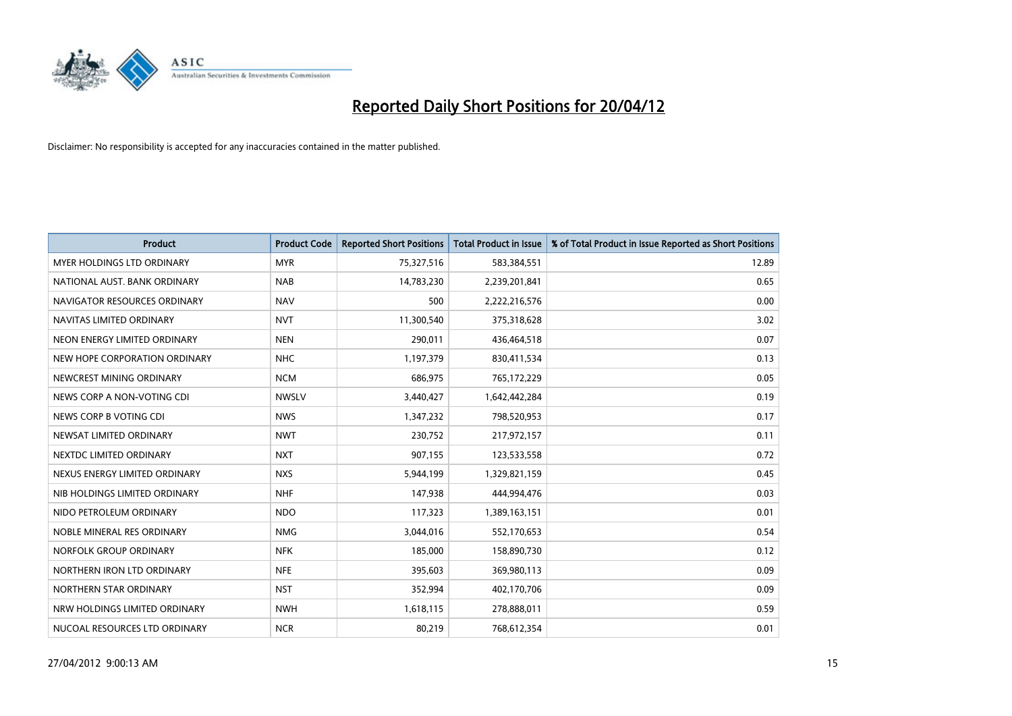

| <b>Product</b>                    | <b>Product Code</b> | <b>Reported Short Positions</b> | <b>Total Product in Issue</b> | % of Total Product in Issue Reported as Short Positions |
|-----------------------------------|---------------------|---------------------------------|-------------------------------|---------------------------------------------------------|
| <b>MYER HOLDINGS LTD ORDINARY</b> | <b>MYR</b>          | 75,327,516                      | 583,384,551                   | 12.89                                                   |
| NATIONAL AUST. BANK ORDINARY      | <b>NAB</b>          | 14,783,230                      | 2,239,201,841                 | 0.65                                                    |
| NAVIGATOR RESOURCES ORDINARY      | <b>NAV</b>          | 500                             | 2,222,216,576                 | 0.00                                                    |
| NAVITAS LIMITED ORDINARY          | <b>NVT</b>          | 11,300,540                      | 375,318,628                   | 3.02                                                    |
| NEON ENERGY LIMITED ORDINARY      | <b>NEN</b>          | 290,011                         | 436,464,518                   | 0.07                                                    |
| NEW HOPE CORPORATION ORDINARY     | <b>NHC</b>          | 1,197,379                       | 830,411,534                   | 0.13                                                    |
| NEWCREST MINING ORDINARY          | <b>NCM</b>          | 686,975                         | 765,172,229                   | 0.05                                                    |
| NEWS CORP A NON-VOTING CDI        | <b>NWSLV</b>        | 3,440,427                       | 1,642,442,284                 | 0.19                                                    |
| NEWS CORP B VOTING CDI            | <b>NWS</b>          | 1,347,232                       | 798,520,953                   | 0.17                                                    |
| NEWSAT LIMITED ORDINARY           | <b>NWT</b>          | 230,752                         | 217,972,157                   | 0.11                                                    |
| NEXTDC LIMITED ORDINARY           | <b>NXT</b>          | 907,155                         | 123,533,558                   | 0.72                                                    |
| NEXUS ENERGY LIMITED ORDINARY     | <b>NXS</b>          | 5,944,199                       | 1,329,821,159                 | 0.45                                                    |
| NIB HOLDINGS LIMITED ORDINARY     | <b>NHF</b>          | 147,938                         | 444,994,476                   | 0.03                                                    |
| NIDO PETROLEUM ORDINARY           | <b>NDO</b>          | 117,323                         | 1,389,163,151                 | 0.01                                                    |
| NOBLE MINERAL RES ORDINARY        | <b>NMG</b>          | 3,044,016                       | 552,170,653                   | 0.54                                                    |
| NORFOLK GROUP ORDINARY            | <b>NFK</b>          | 185,000                         | 158,890,730                   | 0.12                                                    |
| NORTHERN IRON LTD ORDINARY        | <b>NFE</b>          | 395,603                         | 369,980,113                   | 0.09                                                    |
| NORTHERN STAR ORDINARY            | <b>NST</b>          | 352,994                         | 402,170,706                   | 0.09                                                    |
| NRW HOLDINGS LIMITED ORDINARY     | <b>NWH</b>          | 1,618,115                       | 278,888,011                   | 0.59                                                    |
| NUCOAL RESOURCES LTD ORDINARY     | <b>NCR</b>          | 80,219                          | 768,612,354                   | 0.01                                                    |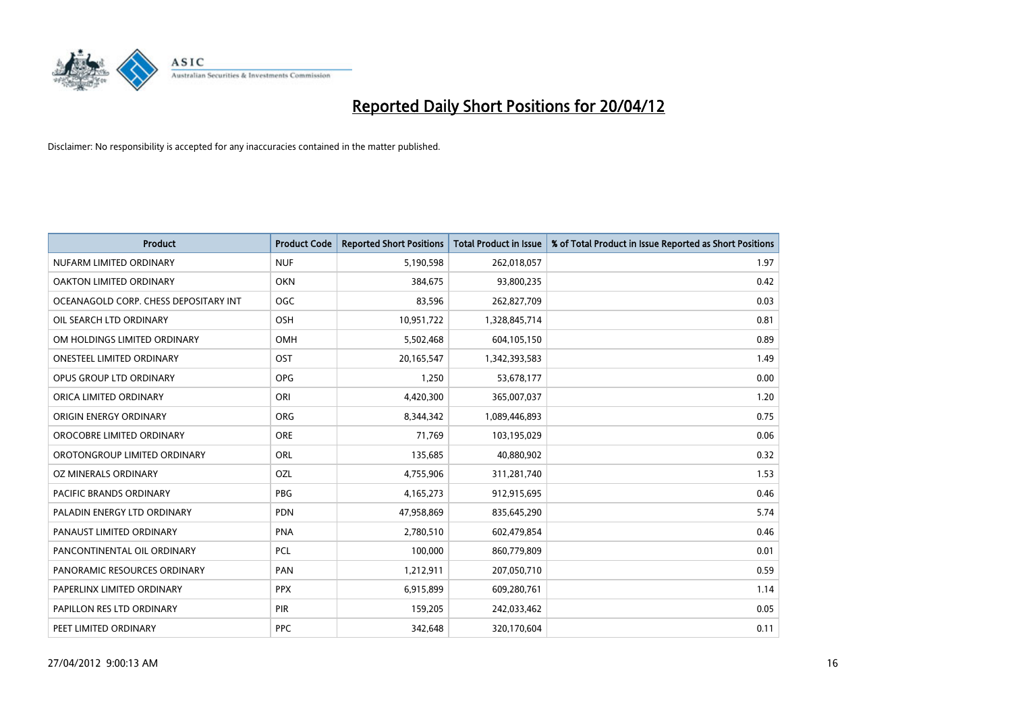

| <b>Product</b>                        | <b>Product Code</b> | <b>Reported Short Positions</b> | <b>Total Product in Issue</b> | % of Total Product in Issue Reported as Short Positions |
|---------------------------------------|---------------------|---------------------------------|-------------------------------|---------------------------------------------------------|
| NUFARM LIMITED ORDINARY               | <b>NUF</b>          | 5,190,598                       | 262,018,057                   | 1.97                                                    |
| OAKTON LIMITED ORDINARY               | <b>OKN</b>          | 384,675                         | 93,800,235                    | 0.42                                                    |
| OCEANAGOLD CORP. CHESS DEPOSITARY INT | <b>OGC</b>          | 83,596                          | 262,827,709                   | 0.03                                                    |
| OIL SEARCH LTD ORDINARY               | OSH                 | 10,951,722                      | 1,328,845,714                 | 0.81                                                    |
| OM HOLDINGS LIMITED ORDINARY          | OMH                 | 5,502,468                       | 604,105,150                   | 0.89                                                    |
| <b>ONESTEEL LIMITED ORDINARY</b>      | OST                 | 20,165,547                      | 1,342,393,583                 | 1.49                                                    |
| OPUS GROUP LTD ORDINARY               | <b>OPG</b>          | 1,250                           | 53,678,177                    | 0.00                                                    |
| ORICA LIMITED ORDINARY                | ORI                 | 4,420,300                       | 365,007,037                   | 1.20                                                    |
| ORIGIN ENERGY ORDINARY                | <b>ORG</b>          | 8,344,342                       | 1,089,446,893                 | 0.75                                                    |
| OROCOBRE LIMITED ORDINARY             | <b>ORE</b>          | 71,769                          | 103,195,029                   | 0.06                                                    |
| OROTONGROUP LIMITED ORDINARY          | ORL                 | 135,685                         | 40,880,902                    | 0.32                                                    |
| OZ MINERALS ORDINARY                  | OZL                 | 4,755,906                       | 311,281,740                   | 1.53                                                    |
| PACIFIC BRANDS ORDINARY               | <b>PBG</b>          | 4,165,273                       | 912,915,695                   | 0.46                                                    |
| PALADIN ENERGY LTD ORDINARY           | <b>PDN</b>          | 47,958,869                      | 835,645,290                   | 5.74                                                    |
| PANAUST LIMITED ORDINARY              | <b>PNA</b>          | 2,780,510                       | 602,479,854                   | 0.46                                                    |
| PANCONTINENTAL OIL ORDINARY           | <b>PCL</b>          | 100,000                         | 860,779,809                   | 0.01                                                    |
| PANORAMIC RESOURCES ORDINARY          | PAN                 | 1,212,911                       | 207,050,710                   | 0.59                                                    |
| PAPERLINX LIMITED ORDINARY            | <b>PPX</b>          | 6,915,899                       | 609,280,761                   | 1.14                                                    |
| PAPILLON RES LTD ORDINARY             | PIR                 | 159,205                         | 242,033,462                   | 0.05                                                    |
| PEET LIMITED ORDINARY                 | <b>PPC</b>          | 342,648                         | 320,170,604                   | 0.11                                                    |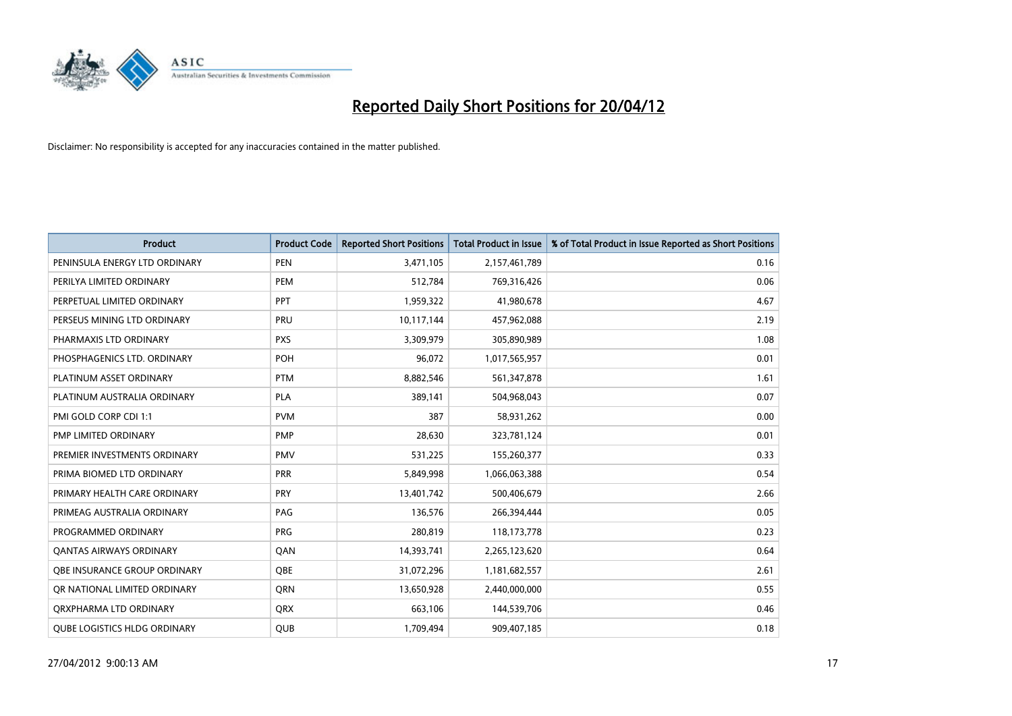

| <b>Product</b>                      | <b>Product Code</b> | <b>Reported Short Positions</b> | <b>Total Product in Issue</b> | % of Total Product in Issue Reported as Short Positions |
|-------------------------------------|---------------------|---------------------------------|-------------------------------|---------------------------------------------------------|
| PENINSULA ENERGY LTD ORDINARY       | <b>PEN</b>          | 3,471,105                       | 2,157,461,789                 | 0.16                                                    |
| PERILYA LIMITED ORDINARY            | PEM                 | 512,784                         | 769,316,426                   | 0.06                                                    |
| PERPETUAL LIMITED ORDINARY          | <b>PPT</b>          | 1,959,322                       | 41,980,678                    | 4.67                                                    |
| PERSEUS MINING LTD ORDINARY         | PRU                 | 10,117,144                      | 457,962,088                   | 2.19                                                    |
| PHARMAXIS LTD ORDINARY              | <b>PXS</b>          | 3,309,979                       | 305,890,989                   | 1.08                                                    |
| PHOSPHAGENICS LTD. ORDINARY         | POH                 | 96,072                          | 1,017,565,957                 | 0.01                                                    |
| PLATINUM ASSET ORDINARY             | <b>PTM</b>          | 8,882,546                       | 561,347,878                   | 1.61                                                    |
| PLATINUM AUSTRALIA ORDINARY         | PLA                 | 389,141                         | 504,968,043                   | 0.07                                                    |
| PMI GOLD CORP CDI 1:1               | <b>PVM</b>          | 387                             | 58,931,262                    | 0.00                                                    |
| <b>PMP LIMITED ORDINARY</b>         | <b>PMP</b>          | 28,630                          | 323,781,124                   | 0.01                                                    |
| PREMIER INVESTMENTS ORDINARY        | <b>PMV</b>          | 531,225                         | 155,260,377                   | 0.33                                                    |
| PRIMA BIOMED LTD ORDINARY           | <b>PRR</b>          | 5,849,998                       | 1,066,063,388                 | 0.54                                                    |
| PRIMARY HEALTH CARE ORDINARY        | <b>PRY</b>          | 13,401,742                      | 500,406,679                   | 2.66                                                    |
| PRIMEAG AUSTRALIA ORDINARY          | PAG                 | 136,576                         | 266,394,444                   | 0.05                                                    |
| PROGRAMMED ORDINARY                 | <b>PRG</b>          | 280,819                         | 118,173,778                   | 0.23                                                    |
| <b>QANTAS AIRWAYS ORDINARY</b>      | QAN                 | 14,393,741                      | 2,265,123,620                 | 0.64                                                    |
| <b>QBE INSURANCE GROUP ORDINARY</b> | <b>OBE</b>          | 31,072,296                      | 1,181,682,557                 | 2.61                                                    |
| OR NATIONAL LIMITED ORDINARY        | QRN                 | 13,650,928                      | 2,440,000,000                 | 0.55                                                    |
| ORXPHARMA LTD ORDINARY              | <b>QRX</b>          | 663,106                         | 144,539,706                   | 0.46                                                    |
| <b>QUBE LOGISTICS HLDG ORDINARY</b> | <b>QUB</b>          | 1,709,494                       | 909,407,185                   | 0.18                                                    |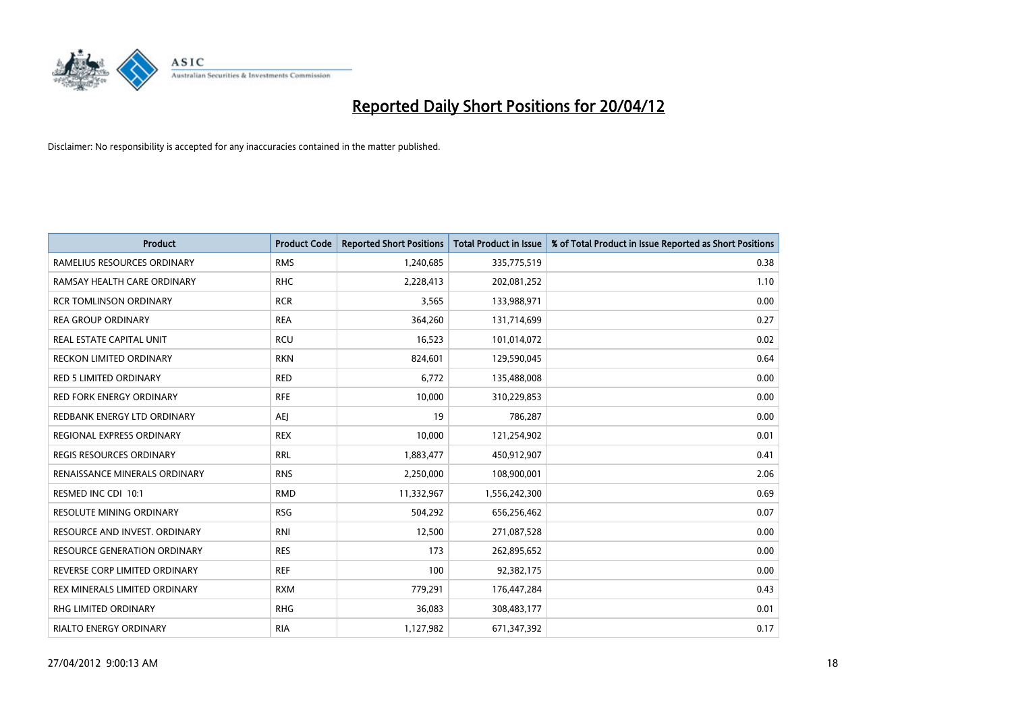

| <b>Product</b>                      | <b>Product Code</b> | <b>Reported Short Positions</b> | <b>Total Product in Issue</b> | % of Total Product in Issue Reported as Short Positions |
|-------------------------------------|---------------------|---------------------------------|-------------------------------|---------------------------------------------------------|
| RAMELIUS RESOURCES ORDINARY         | <b>RMS</b>          | 1,240,685                       | 335,775,519                   | 0.38                                                    |
| RAMSAY HEALTH CARE ORDINARY         | <b>RHC</b>          | 2,228,413                       | 202,081,252                   | 1.10                                                    |
| <b>RCR TOMLINSON ORDINARY</b>       | <b>RCR</b>          | 3,565                           | 133,988,971                   | 0.00                                                    |
| <b>REA GROUP ORDINARY</b>           | <b>REA</b>          | 364,260                         | 131,714,699                   | 0.27                                                    |
| <b>REAL ESTATE CAPITAL UNIT</b>     | <b>RCU</b>          | 16,523                          | 101,014,072                   | 0.02                                                    |
| <b>RECKON LIMITED ORDINARY</b>      | <b>RKN</b>          | 824,601                         | 129,590,045                   | 0.64                                                    |
| <b>RED 5 LIMITED ORDINARY</b>       | <b>RED</b>          | 6,772                           | 135,488,008                   | 0.00                                                    |
| <b>RED FORK ENERGY ORDINARY</b>     | <b>RFE</b>          | 10,000                          | 310,229,853                   | 0.00                                                    |
| REDBANK ENERGY LTD ORDINARY         | AEJ                 | 19                              | 786,287                       | 0.00                                                    |
| <b>REGIONAL EXPRESS ORDINARY</b>    | <b>REX</b>          | 10,000                          | 121,254,902                   | 0.01                                                    |
| REGIS RESOURCES ORDINARY            | <b>RRL</b>          | 1,883,477                       | 450,912,907                   | 0.41                                                    |
| RENAISSANCE MINERALS ORDINARY       | <b>RNS</b>          | 2,250,000                       | 108,900,001                   | 2.06                                                    |
| RESMED INC CDI 10:1                 | <b>RMD</b>          | 11,332,967                      | 1,556,242,300                 | 0.69                                                    |
| <b>RESOLUTE MINING ORDINARY</b>     | <b>RSG</b>          | 504,292                         | 656,256,462                   | 0.07                                                    |
| RESOURCE AND INVEST. ORDINARY       | <b>RNI</b>          | 12,500                          | 271,087,528                   | 0.00                                                    |
| <b>RESOURCE GENERATION ORDINARY</b> | <b>RES</b>          | 173                             | 262,895,652                   | 0.00                                                    |
| REVERSE CORP LIMITED ORDINARY       | <b>REF</b>          | 100                             | 92,382,175                    | 0.00                                                    |
| REX MINERALS LIMITED ORDINARY       | <b>RXM</b>          | 779,291                         | 176,447,284                   | 0.43                                                    |
| <b>RHG LIMITED ORDINARY</b>         | <b>RHG</b>          | 36,083                          | 308,483,177                   | 0.01                                                    |
| <b>RIALTO ENERGY ORDINARY</b>       | <b>RIA</b>          | 1,127,982                       | 671,347,392                   | 0.17                                                    |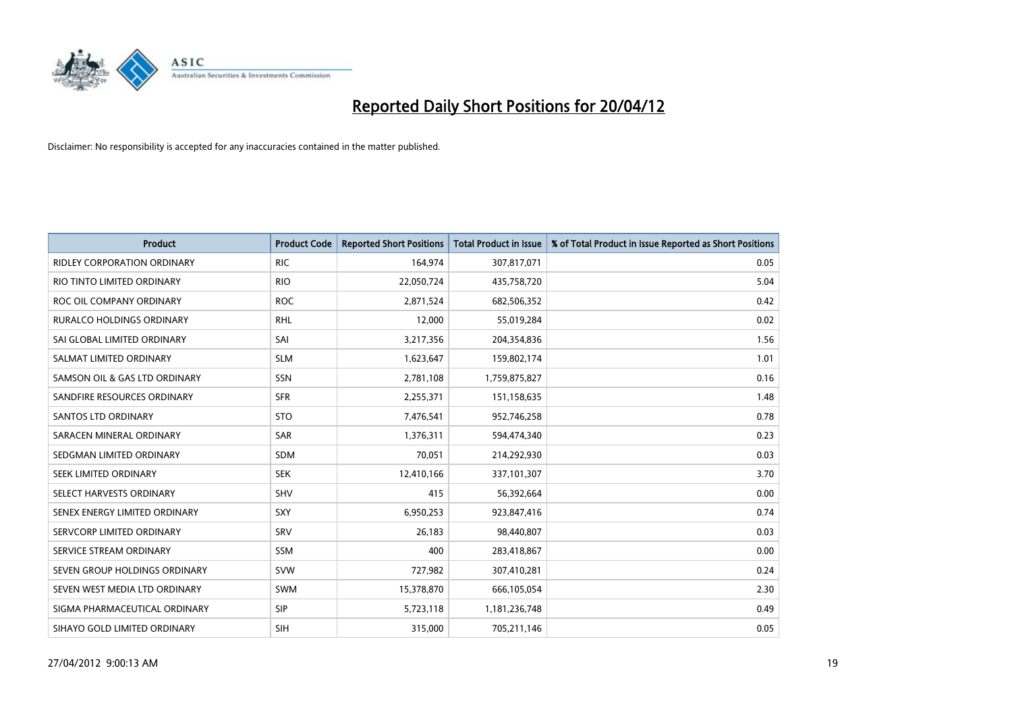

| <b>Product</b>                     | <b>Product Code</b> | <b>Reported Short Positions</b> | <b>Total Product in Issue</b> | % of Total Product in Issue Reported as Short Positions |
|------------------------------------|---------------------|---------------------------------|-------------------------------|---------------------------------------------------------|
| <b>RIDLEY CORPORATION ORDINARY</b> | <b>RIC</b>          | 164,974                         | 307,817,071                   | 0.05                                                    |
| RIO TINTO LIMITED ORDINARY         | <b>RIO</b>          | 22,050,724                      | 435,758,720                   | 5.04                                                    |
| ROC OIL COMPANY ORDINARY           | <b>ROC</b>          | 2,871,524                       | 682,506,352                   | 0.42                                                    |
| <b>RURALCO HOLDINGS ORDINARY</b>   | <b>RHL</b>          | 12,000                          | 55,019,284                    | 0.02                                                    |
| SAI GLOBAL LIMITED ORDINARY        | SAI                 | 3,217,356                       | 204,354,836                   | 1.56                                                    |
| SALMAT LIMITED ORDINARY            | <b>SLM</b>          | 1,623,647                       | 159,802,174                   | 1.01                                                    |
| SAMSON OIL & GAS LTD ORDINARY      | SSN                 | 2,781,108                       | 1,759,875,827                 | 0.16                                                    |
| SANDFIRE RESOURCES ORDINARY        | <b>SFR</b>          | 2,255,371                       | 151,158,635                   | 1.48                                                    |
| SANTOS LTD ORDINARY                | <b>STO</b>          | 7,476,541                       | 952,746,258                   | 0.78                                                    |
| SARACEN MINERAL ORDINARY           | <b>SAR</b>          | 1,376,311                       | 594,474,340                   | 0.23                                                    |
| SEDGMAN LIMITED ORDINARY           | <b>SDM</b>          | 70,051                          | 214,292,930                   | 0.03                                                    |
| SEEK LIMITED ORDINARY              | <b>SEK</b>          | 12,410,166                      | 337,101,307                   | 3.70                                                    |
| SELECT HARVESTS ORDINARY           | SHV                 | 415                             | 56,392,664                    | 0.00                                                    |
| SENEX ENERGY LIMITED ORDINARY      | <b>SXY</b>          | 6,950,253                       | 923,847,416                   | 0.74                                                    |
| SERVCORP LIMITED ORDINARY          | SRV                 | 26,183                          | 98,440,807                    | 0.03                                                    |
| SERVICE STREAM ORDINARY            | SSM                 | 400                             | 283,418,867                   | 0.00                                                    |
| SEVEN GROUP HOLDINGS ORDINARY      | <b>SVW</b>          | 727,982                         | 307,410,281                   | 0.24                                                    |
| SEVEN WEST MEDIA LTD ORDINARY      | <b>SWM</b>          | 15,378,870                      | 666,105,054                   | 2.30                                                    |
| SIGMA PHARMACEUTICAL ORDINARY      | <b>SIP</b>          | 5,723,118                       | 1,181,236,748                 | 0.49                                                    |
| SIHAYO GOLD LIMITED ORDINARY       | <b>SIH</b>          | 315,000                         | 705,211,146                   | 0.05                                                    |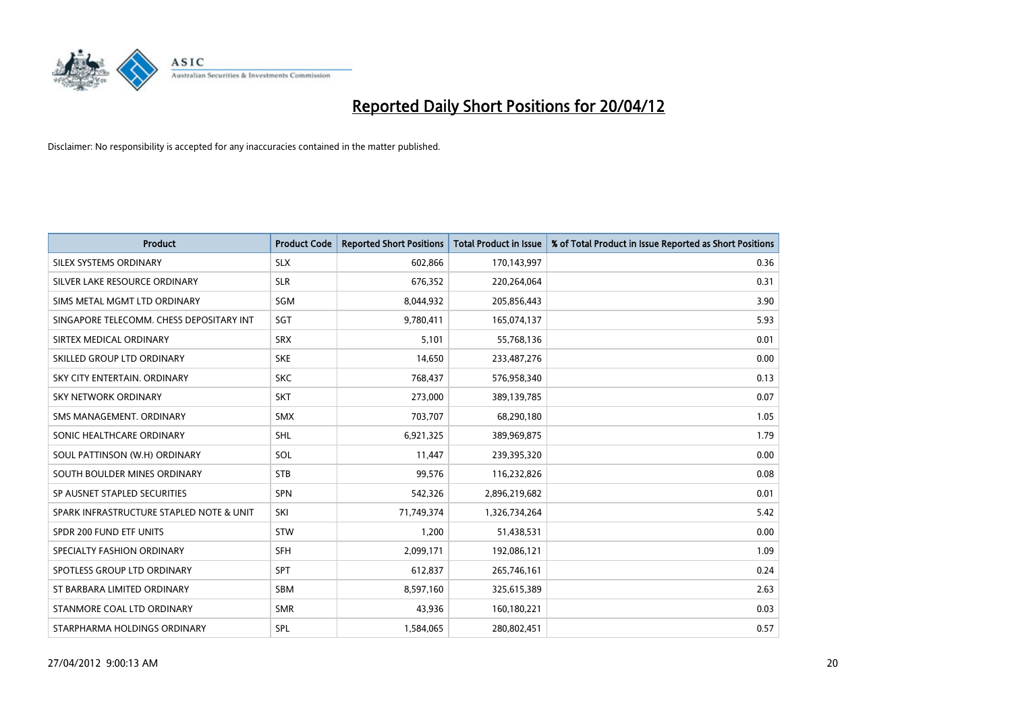

| <b>Product</b>                           | <b>Product Code</b> | <b>Reported Short Positions</b> | <b>Total Product in Issue</b> | % of Total Product in Issue Reported as Short Positions |
|------------------------------------------|---------------------|---------------------------------|-------------------------------|---------------------------------------------------------|
| SILEX SYSTEMS ORDINARY                   | <b>SLX</b>          | 602,866                         | 170,143,997                   | 0.36                                                    |
| SILVER LAKE RESOURCE ORDINARY            | <b>SLR</b>          | 676,352                         | 220,264,064                   | 0.31                                                    |
| SIMS METAL MGMT LTD ORDINARY             | SGM                 | 8,044,932                       | 205,856,443                   | 3.90                                                    |
| SINGAPORE TELECOMM. CHESS DEPOSITARY INT | SGT                 | 9,780,411                       | 165,074,137                   | 5.93                                                    |
| SIRTEX MEDICAL ORDINARY                  | <b>SRX</b>          | 5,101                           | 55,768,136                    | 0.01                                                    |
| SKILLED GROUP LTD ORDINARY               | <b>SKE</b>          | 14,650                          | 233,487,276                   | 0.00                                                    |
| SKY CITY ENTERTAIN, ORDINARY             | <b>SKC</b>          | 768,437                         | 576,958,340                   | 0.13                                                    |
| SKY NETWORK ORDINARY                     | <b>SKT</b>          | 273,000                         | 389,139,785                   | 0.07                                                    |
| SMS MANAGEMENT, ORDINARY                 | <b>SMX</b>          | 703,707                         | 68,290,180                    | 1.05                                                    |
| SONIC HEALTHCARE ORDINARY                | <b>SHL</b>          | 6,921,325                       | 389,969,875                   | 1.79                                                    |
| SOUL PATTINSON (W.H) ORDINARY            | SOL                 | 11,447                          | 239,395,320                   | 0.00                                                    |
| SOUTH BOULDER MINES ORDINARY             | <b>STB</b>          | 99,576                          | 116,232,826                   | 0.08                                                    |
| SP AUSNET STAPLED SECURITIES             | <b>SPN</b>          | 542,326                         | 2,896,219,682                 | 0.01                                                    |
| SPARK INFRASTRUCTURE STAPLED NOTE & UNIT | SKI                 | 71,749,374                      | 1,326,734,264                 | 5.42                                                    |
| SPDR 200 FUND ETF UNITS                  | <b>STW</b>          | 1,200                           | 51,438,531                    | 0.00                                                    |
| SPECIALTY FASHION ORDINARY               | SFH                 | 2,099,171                       | 192,086,121                   | 1.09                                                    |
| SPOTLESS GROUP LTD ORDINARY              | SPT                 | 612,837                         | 265,746,161                   | 0.24                                                    |
| ST BARBARA LIMITED ORDINARY              | <b>SBM</b>          | 8,597,160                       | 325,615,389                   | 2.63                                                    |
| STANMORE COAL LTD ORDINARY               | <b>SMR</b>          | 43,936                          | 160,180,221                   | 0.03                                                    |
| STARPHARMA HOLDINGS ORDINARY             | SPL                 | 1,584,065                       | 280,802,451                   | 0.57                                                    |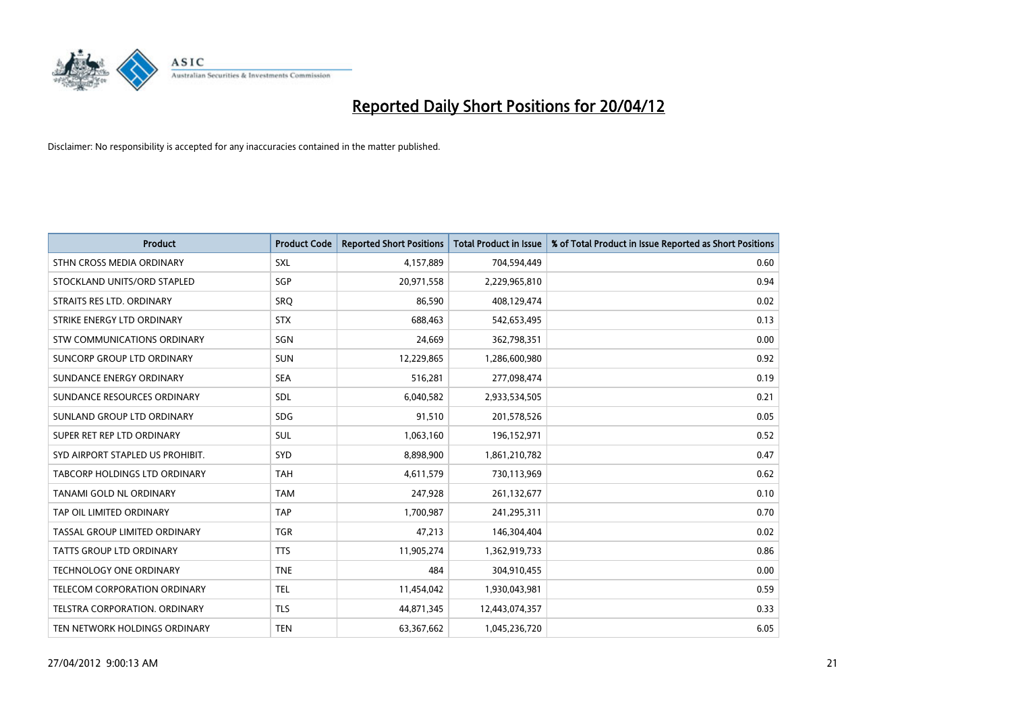

| <b>Product</b>                   | <b>Product Code</b> | <b>Reported Short Positions</b> | <b>Total Product in Issue</b> | % of Total Product in Issue Reported as Short Positions |
|----------------------------------|---------------------|---------------------------------|-------------------------------|---------------------------------------------------------|
| STHN CROSS MEDIA ORDINARY        | <b>SXL</b>          | 4,157,889                       | 704,594,449                   | 0.60                                                    |
| STOCKLAND UNITS/ORD STAPLED      | SGP                 | 20,971,558                      | 2,229,965,810                 | 0.94                                                    |
| STRAITS RES LTD. ORDINARY        | SRQ                 | 86,590                          | 408,129,474                   | 0.02                                                    |
| STRIKE ENERGY LTD ORDINARY       | <b>STX</b>          | 688,463                         | 542,653,495                   | 0.13                                                    |
| STW COMMUNICATIONS ORDINARY      | SGN                 | 24,669                          | 362,798,351                   | 0.00                                                    |
| SUNCORP GROUP LTD ORDINARY       | <b>SUN</b>          | 12,229,865                      | 1,286,600,980                 | 0.92                                                    |
| SUNDANCE ENERGY ORDINARY         | <b>SEA</b>          | 516,281                         | 277,098,474                   | 0.19                                                    |
| SUNDANCE RESOURCES ORDINARY      | <b>SDL</b>          | 6,040,582                       | 2,933,534,505                 | 0.21                                                    |
| SUNLAND GROUP LTD ORDINARY       | <b>SDG</b>          | 91,510                          | 201,578,526                   | 0.05                                                    |
| SUPER RET REP LTD ORDINARY       | SUL                 | 1,063,160                       | 196,152,971                   | 0.52                                                    |
| SYD AIRPORT STAPLED US PROHIBIT. | SYD                 | 8,898,900                       | 1,861,210,782                 | 0.47                                                    |
| TABCORP HOLDINGS LTD ORDINARY    | <b>TAH</b>          | 4,611,579                       | 730,113,969                   | 0.62                                                    |
| TANAMI GOLD NL ORDINARY          | <b>TAM</b>          | 247,928                         | 261,132,677                   | 0.10                                                    |
| TAP OIL LIMITED ORDINARY         | <b>TAP</b>          | 1,700,987                       | 241,295,311                   | 0.70                                                    |
| TASSAL GROUP LIMITED ORDINARY    | <b>TGR</b>          | 47,213                          | 146,304,404                   | 0.02                                                    |
| TATTS GROUP LTD ORDINARY         | <b>TTS</b>          | 11,905,274                      | 1,362,919,733                 | 0.86                                                    |
| TECHNOLOGY ONE ORDINARY          | <b>TNE</b>          | 484                             | 304,910,455                   | 0.00                                                    |
| TELECOM CORPORATION ORDINARY     | <b>TEL</b>          | 11,454,042                      | 1,930,043,981                 | 0.59                                                    |
| TELSTRA CORPORATION, ORDINARY    | <b>TLS</b>          | 44,871,345                      | 12,443,074,357                | 0.33                                                    |
| TEN NETWORK HOLDINGS ORDINARY    | <b>TEN</b>          | 63,367,662                      | 1,045,236,720                 | 6.05                                                    |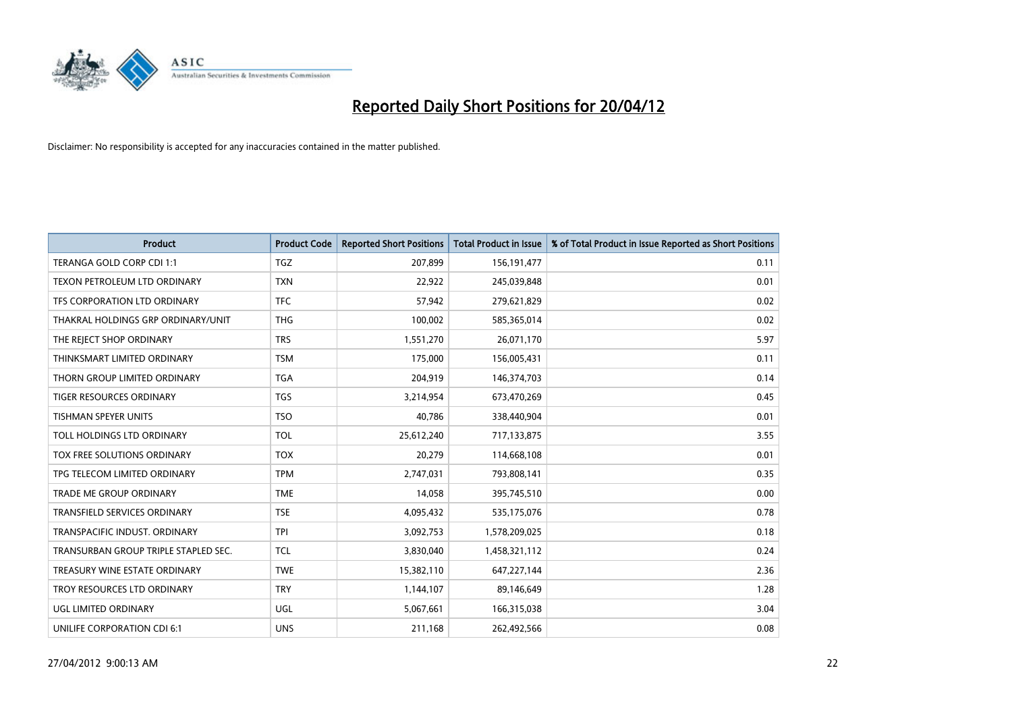

| <b>Product</b>                       | <b>Product Code</b> | <b>Reported Short Positions</b> | <b>Total Product in Issue</b> | % of Total Product in Issue Reported as Short Positions |
|--------------------------------------|---------------------|---------------------------------|-------------------------------|---------------------------------------------------------|
| TERANGA GOLD CORP CDI 1:1            | <b>TGZ</b>          | 207,899                         | 156, 191, 477                 | 0.11                                                    |
| TEXON PETROLEUM LTD ORDINARY         | <b>TXN</b>          | 22,922                          | 245,039,848                   | 0.01                                                    |
| TFS CORPORATION LTD ORDINARY         | <b>TFC</b>          | 57,942                          | 279,621,829                   | 0.02                                                    |
| THAKRAL HOLDINGS GRP ORDINARY/UNIT   | <b>THG</b>          | 100,002                         | 585,365,014                   | 0.02                                                    |
| THE REJECT SHOP ORDINARY             | <b>TRS</b>          | 1,551,270                       | 26,071,170                    | 5.97                                                    |
| THINKSMART LIMITED ORDINARY          | <b>TSM</b>          | 175,000                         | 156,005,431                   | 0.11                                                    |
| THORN GROUP LIMITED ORDINARY         | <b>TGA</b>          | 204,919                         | 146,374,703                   | 0.14                                                    |
| TIGER RESOURCES ORDINARY             | <b>TGS</b>          | 3,214,954                       | 673,470,269                   | 0.45                                                    |
| <b>TISHMAN SPEYER UNITS</b>          | <b>TSO</b>          | 40,786                          | 338,440,904                   | 0.01                                                    |
| TOLL HOLDINGS LTD ORDINARY           | <b>TOL</b>          | 25,612,240                      | 717,133,875                   | 3.55                                                    |
| TOX FREE SOLUTIONS ORDINARY          | <b>TOX</b>          | 20,279                          | 114,668,108                   | 0.01                                                    |
| TPG TELECOM LIMITED ORDINARY         | <b>TPM</b>          | 2,747,031                       | 793,808,141                   | 0.35                                                    |
| TRADE ME GROUP ORDINARY              | <b>TME</b>          | 14,058                          | 395,745,510                   | 0.00                                                    |
| <b>TRANSFIELD SERVICES ORDINARY</b>  | <b>TSE</b>          | 4,095,432                       | 535,175,076                   | 0.78                                                    |
| TRANSPACIFIC INDUST. ORDINARY        | <b>TPI</b>          | 3,092,753                       | 1,578,209,025                 | 0.18                                                    |
| TRANSURBAN GROUP TRIPLE STAPLED SEC. | TCL                 | 3,830,040                       | 1,458,321,112                 | 0.24                                                    |
| TREASURY WINE ESTATE ORDINARY        | <b>TWE</b>          | 15,382,110                      | 647,227,144                   | 2.36                                                    |
| TROY RESOURCES LTD ORDINARY          | <b>TRY</b>          | 1,144,107                       | 89,146,649                    | 1.28                                                    |
| UGL LIMITED ORDINARY                 | UGL                 | 5,067,661                       | 166,315,038                   | 3.04                                                    |
| UNILIFE CORPORATION CDI 6:1          | <b>UNS</b>          | 211,168                         | 262,492,566                   | 0.08                                                    |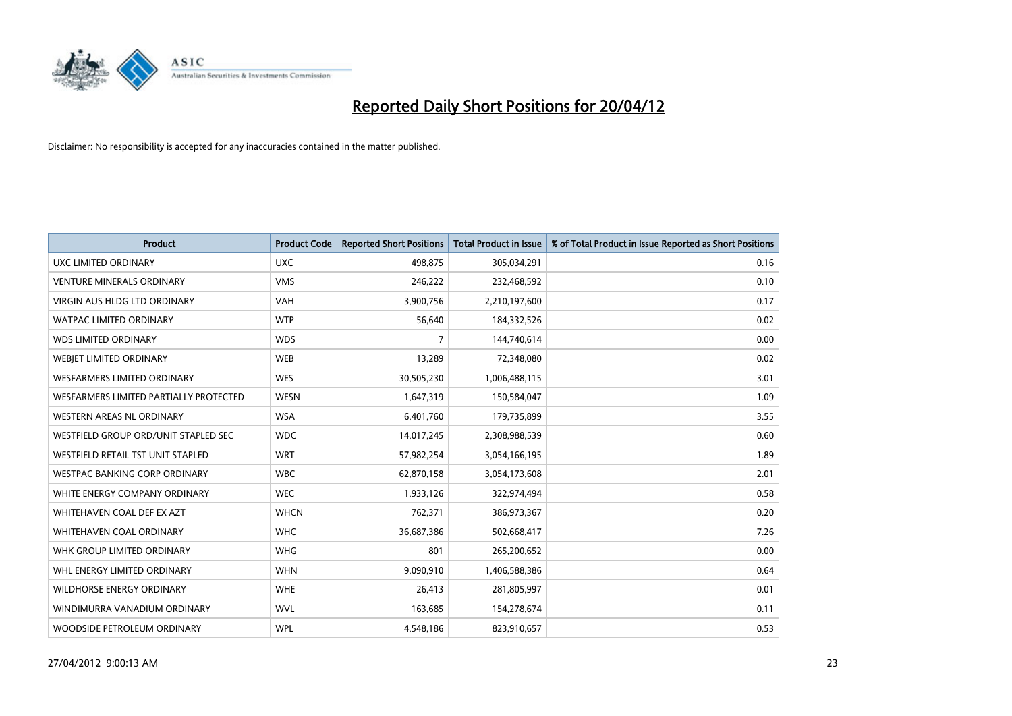

| <b>Product</b>                         | <b>Product Code</b> | <b>Reported Short Positions</b> | <b>Total Product in Issue</b> | % of Total Product in Issue Reported as Short Positions |
|----------------------------------------|---------------------|---------------------------------|-------------------------------|---------------------------------------------------------|
| <b>UXC LIMITED ORDINARY</b>            | <b>UXC</b>          | 498,875                         | 305,034,291                   | 0.16                                                    |
| <b>VENTURE MINERALS ORDINARY</b>       | <b>VMS</b>          | 246,222                         | 232,468,592                   | 0.10                                                    |
| VIRGIN AUS HLDG LTD ORDINARY           | <b>VAH</b>          | 3,900,756                       | 2,210,197,600                 | 0.17                                                    |
| WATPAC LIMITED ORDINARY                | <b>WTP</b>          | 56,640                          | 184,332,526                   | 0.02                                                    |
| <b>WDS LIMITED ORDINARY</b>            | <b>WDS</b>          | 7                               | 144,740,614                   | 0.00                                                    |
| WEBJET LIMITED ORDINARY                | <b>WEB</b>          | 13,289                          | 72,348,080                    | 0.02                                                    |
| <b>WESFARMERS LIMITED ORDINARY</b>     | <b>WES</b>          | 30,505,230                      | 1,006,488,115                 | 3.01                                                    |
| WESFARMERS LIMITED PARTIALLY PROTECTED | <b>WESN</b>         | 1,647,319                       | 150,584,047                   | 1.09                                                    |
| <b>WESTERN AREAS NL ORDINARY</b>       | <b>WSA</b>          | 6,401,760                       | 179,735,899                   | 3.55                                                    |
| WESTFIELD GROUP ORD/UNIT STAPLED SEC   | <b>WDC</b>          | 14,017,245                      | 2,308,988,539                 | 0.60                                                    |
| WESTFIELD RETAIL TST UNIT STAPLED      | <b>WRT</b>          | 57,982,254                      | 3,054,166,195                 | 1.89                                                    |
| WESTPAC BANKING CORP ORDINARY          | <b>WBC</b>          | 62,870,158                      | 3,054,173,608                 | 2.01                                                    |
| WHITE ENERGY COMPANY ORDINARY          | <b>WEC</b>          | 1,933,126                       | 322,974,494                   | 0.58                                                    |
| WHITEHAVEN COAL DEF EX AZT             | <b>WHCN</b>         | 762,371                         | 386,973,367                   | 0.20                                                    |
| WHITEHAVEN COAL ORDINARY               | <b>WHC</b>          | 36,687,386                      | 502,668,417                   | 7.26                                                    |
| WHK GROUP LIMITED ORDINARY             | <b>WHG</b>          | 801                             | 265,200,652                   | 0.00                                                    |
| WHL ENERGY LIMITED ORDINARY            | <b>WHN</b>          | 9,090,910                       | 1,406,588,386                 | 0.64                                                    |
| WILDHORSE ENERGY ORDINARY              | <b>WHE</b>          | 26,413                          | 281,805,997                   | 0.01                                                    |
| WINDIMURRA VANADIUM ORDINARY           | <b>WVL</b>          | 163,685                         | 154,278,674                   | 0.11                                                    |
| WOODSIDE PETROLEUM ORDINARY            | <b>WPL</b>          | 4,548,186                       | 823,910,657                   | 0.53                                                    |